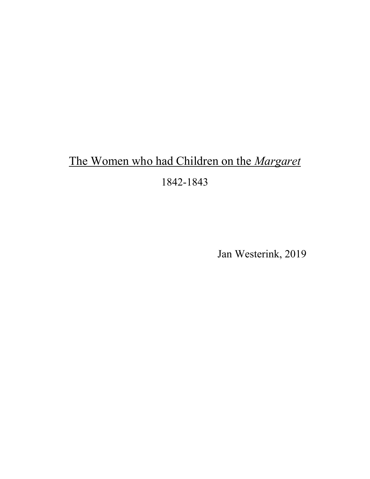# The Women who had Children on the Margaret

1842-1843

Jan Westerink, 2019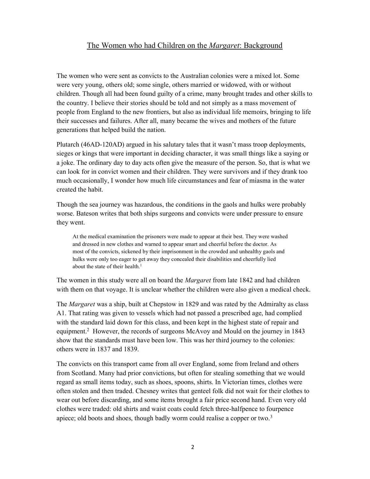# The Women who had Children on the *Margaret*: Background

The women who were sent as convicts to the Australian colonies were a mixed lot. Some were very young, others old; some single, others married or widowed, with or without children. Though all had been found guilty of a crime, many brought trades and other skills to the country. I believe their stories should be told and not simply as a mass movement of people from England to the new frontiers, but also as individual life memoirs, bringing to life their successes and failures. After all, many became the wives and mothers of the future generations that helped build the nation.

Plutarch (46AD-120AD) argued in his salutary tales that it wasn't mass troop deployments, sieges or kings that were important in deciding character, it was small things like a saying or a joke. The ordinary day to day acts often give the measure of the person. So, that is what we can look for in convict women and their children. They were survivors and if they drank too much occasionally, I wonder how much life circumstances and fear of miasma in the water created the habit.

Though the sea journey was hazardous, the conditions in the gaols and hulks were probably worse. Bateson writes that both ships surgeons and convicts were under pressure to ensure they went.

At the medical examination the prisoners were made to appear at their best. They were washed and dressed in new clothes and warned to appear smart and cheerful before the doctor. As most of the convicts, sickened by their imprisonment in the crowded and unhealthy gaols and hulks were only too eager to get away they concealed their disabilities and cheerfully lied about the state of their health. $<sup>1</sup>$ </sup>

The women in this study were all on board the *Margaret* from late 1842 and had children with them on that voyage. It is unclear whether the children were also given a medical check.

The *Margaret* was a ship, built at Chepstow in 1829 and was rated by the Admiralty as class A1. That rating was given to vessels which had not passed a prescribed age, had complied with the standard laid down for this class, and been kept in the highest state of repair and equipment.<sup>2</sup> However, the records of surgeons McAvoy and Mould on the journey in 1843 show that the standards must have been low. This was her third journey to the colonies: others were in 1837 and 1839.

The convicts on this transport came from all over England, some from Ireland and others from Scotland. Many had prior convictions, but often for stealing something that we would regard as small items today, such as shoes, spoons, shirts. In Victorian times, clothes were often stolen and then traded. Chesney writes that genteel folk did not wait for their clothes to wear out before discarding, and some items brought a fair price second hand. Even very old clothes were traded: old shirts and waist coats could fetch three-halfpence to fourpence apiece; old boots and shoes, though badly worm could realise a copper or two.<sup>3</sup>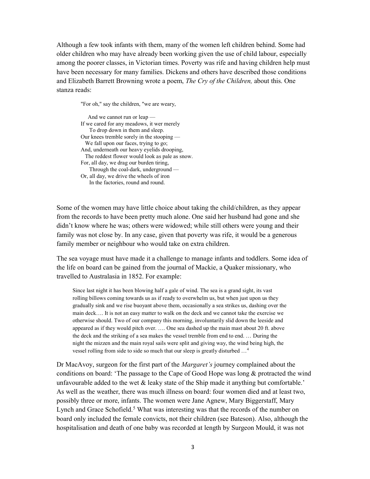Although a few took infants with them, many of the women left children behind. Some had older children who may have already been working given the use of child labour, especially among the poorer classes, in Victorian times. Poverty was rife and having children help must have been necessary for many families. Dickens and others have described those conditions and Elizabeth Barrett Browning wrote a poem, *The Cry of the Children*, about this. One stanza reads:

"For oh," say the children, "we are weary,

 And we cannot run or leap — If we cared for any meadows, it wer merely To drop down in them and sleep. Our knees tremble sorely in the stooping — We fall upon our faces, trying to go; And, underneath our heavy eyelids drooping, The reddest flower would look as pale as snow. For, all day, we drag our burden tiring, Through the coal-dark, underground — Or, all day, we drive the wheels of iron In the factories, round and round.

Some of the women may have little choice about taking the child/children, as they appear from the records to have been pretty much alone. One said her husband had gone and she didn't know where he was; others were widowed; while still others were young and their family was not close by. In any case, given that poverty was rife, it would be a generous family member or neighbour who would take on extra children.

The sea voyage must have made it a challenge to manage infants and toddlers. Some idea of the life on board can be gained from the journal of Mackie, a Quaker missionary, who travelled to Australasia in 1852. For example:

Since last night it has been blowing half a gale of wind. The sea is a grand sight, its vast rolling billows coming towards us as if ready to overwhelm us, but when just upon us they gradually sink and we rise buoyant above them, occasionally a sea strikes us, dashing over the main deck…. It is not an easy matter to walk on the deck and we cannot take the exercise we otherwise should. Two of our company this morning, involuntarily slid down the leeside and appeared as if they would pitch over. …. One sea dashed up the main mast about 20 ft. above the deck and the striking of a sea makes the vessel tremble from end to end. … During the night the mizzen and the main royal sails were split and giving way, the wind being high, the vessel rolling from side to side so much that our sleep is greatly disturbed …<sup>4</sup>

Dr MacAvoy, surgeon for the first part of the *Margaret's* journey complained about the conditions on board: 'The passage to the Cape of Good Hope was long & protracted the wind unfavourable added to the wet  $\&$  leaky state of the Ship made it anything but comfortable.' As well as the weather, there was much illness on board: four women died and at least two, possibly three or more, infants. The women were Jane Agnew, Mary Biggerstaff, Mary Lynch and Grace Schofield.<sup>5</sup> What was interesting was that the records of the number on board only included the female convicts, not their children (see Bateson). Also, although the hospitalisation and death of one baby was recorded at length by Surgeon Mould, it was not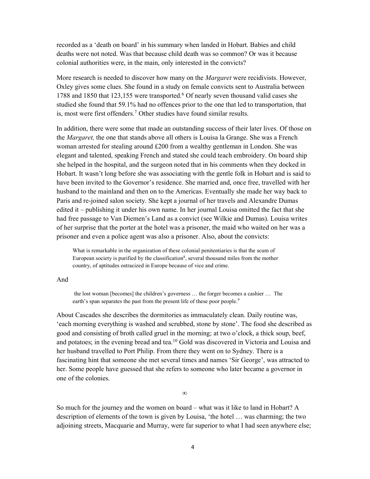recorded as a 'death on board' in his summary when landed in Hobart. Babies and child deaths were not noted. Was that because child death was so common? Or was it because colonial authorities were, in the main, only interested in the convicts?

More research is needed to discover how many on the *Margaret* were recidivists. However, Oxley gives some clues. She found in a study on female convicts sent to Australia between 1788 and 1850 that 123,155 were transported.<sup>6</sup> Of nearly seven thousand valid cases she studied she found that 59.1% had no offences prior to the one that led to transportation, that is, most were first offenders.<sup>7</sup> Other studies have found similar results.

In addition, there were some that made an outstanding success of their later lives. Of those on the *Margaret*, the one that stands above all others is Louisa la Grange. She was a French woman arrested for stealing around £200 from a wealthy gentleman in London. She was elegant and talented, speaking French and stated she could teach embroidery. On board ship she helped in the hospital, and the surgeon noted that in his comments when they docked in Hobart. It wasn't long before she was associating with the gentle folk in Hobart and is said to have been invited to the Governor's residence. She married and, once free, travelled with her husband to the mainland and then on to the Americas. Eventually she made her way back to Paris and re-joined salon society. She kept a journal of her travels and Alexandre Dumas edited it – publishing it under his own name. In her journal Louisa omitted the fact that she had free passage to Van Diemen's Land as a convict (see Wilkie and Dumas). Louisa writes of her surprise that the porter at the hotel was a prisoner, the maid who waited on her was a prisoner and even a police agent was also a prisoner. Also, about the convicts:

What is remarkable in the organization of these colonial penitentiaries is that the scum of European society is purified by the classification<sup>8</sup>, several thousand miles from the mother country, of aptitudes ostracized in Europe because of vice and crime.

## And

 the lost woman [becomes] the children's governess … the forger becomes a cashier … The earth's span separates the past from the present life of these poor people.<sup>9</sup>

About Cascades she describes the dormitories as immaculately clean. Daily routine was, 'each morning everything is washed and scrubbed, stone by stone'. The food she described as good and consisting of broth called gruel in the morning; at two o'clock, a thick soup, beef, and potatoes; in the evening bread and tea.<sup>10</sup> Gold was discovered in Victoria and Louisa and her husband travelled to Port Philip. From there they went on to Sydney. There is a fascinating hint that someone she met several times and names 'Sir George', was attracted to her. Some people have guessed that she refers to someone who later became a governor in one of the colonies.

∞

So much for the journey and the women on board – what was it like to land in Hobart? A description of elements of the town is given by Louisa, 'the hotel … was charming; the two adjoining streets, Macquarie and Murray, were far superior to what I had seen anywhere else;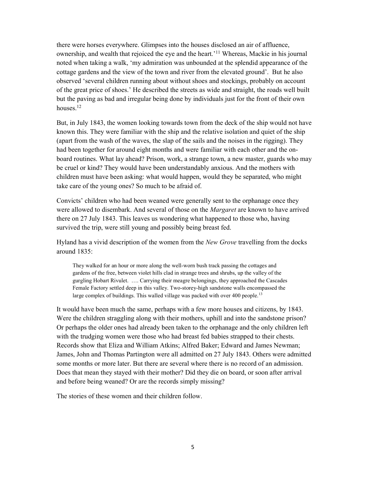there were horses everywhere. Glimpses into the houses disclosed an air of affluence, ownership, and wealth that rejoiced the eye and the heart.<sup>'11</sup> Whereas, Mackie in his journal noted when taking a walk, 'my admiration was unbounded at the splendid appearance of the cottage gardens and the view of the town and river from the elevated ground'. But he also observed 'several children running about without shoes and stockings, probably on account of the great price of shoes.' He described the streets as wide and straight, the roads well built but the paving as bad and irregular being done by individuals just for the front of their own houses.<sup>12</sup>

But, in July 1843, the women looking towards town from the deck of the ship would not have known this. They were familiar with the ship and the relative isolation and quiet of the ship (apart from the wash of the waves, the slap of the sails and the noises in the rigging). They had been together for around eight months and were familiar with each other and the onboard routines. What lay ahead? Prison, work, a strange town, a new master, guards who may be cruel or kind? They would have been understandably anxious. And the mothers with children must have been asking: what would happen, would they be separated, who might take care of the young ones? So much to be afraid of.

Convicts' children who had been weaned were generally sent to the orphanage once they were allowed to disembark. And several of those on the *Margaret* are known to have arrived there on 27 July 1843. This leaves us wondering what happened to those who, having survived the trip, were still young and possibly being breast fed.

Hyland has a vivid description of the women from the New Grove travelling from the docks around 1835:

They walked for an hour or more along the well-worn bush track passing the cottages and gardens of the free, between violet hills clad in strange trees and shrubs, up the valley of the gurgling Hobart Rivulet. …. Carrying their meagre belongings, they approached the Cascades Female Factory settled deep in this valley. Two-storey-high sandstone walls encompassed the large complex of buildings. This walled village was packed with over 400 people.<sup>13</sup>

It would have been much the same, perhaps with a few more houses and citizens, by 1843. Were the children straggling along with their mothers, uphill and into the sandstone prison? Or perhaps the older ones had already been taken to the orphanage and the only children left with the trudging women were those who had breast fed babies strapped to their chests. Records show that Eliza and William Atkins; Alfred Baker; Edward and James Newman; James, John and Thomas Partington were all admitted on 27 July 1843. Others were admitted some months or more later. But there are several where there is no record of an admission. Does that mean they stayed with their mother? Did they die on board, or soon after arrival and before being weaned? Or are the records simply missing?

The stories of these women and their children follow.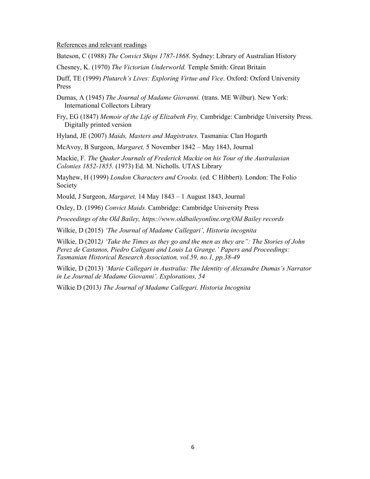References and relevant readings

Bateson, C (1988) The Convict Ships 1787-1868. Sydney: Library of Australian History

Chesney, K. (1970) The Victorian Underworld. Temple Smith: Great Britain

Duff, TE (1999) Plutarch's Lives: Exploring Virtue and Vice. Oxford: Oxford University Press

Dumas, A (1945) The Journal of Madame Giovanni. (trans. ME Wilbur). New York: International Collectors Library

Fry, EG (1847) Memoir of the Life of Elizabeth Fry, Cambridge: Cambridge University Press. Digitally printed version

Hyland, JE (2007) Maids, Masters and Magistrates. Tasmania: Clan Hogarth

McAvoy, B Surgeon, *Margaret*, 5 November 1842 – May 1843, Journal

Mackie, F. The Quaker Journals of Frederick Mackie on his Tour of the Australasian Colonies 1852-1855. (1973) Ed. M. Nicholls. UTAS Library

Mayhew, H (1999) London Characters and Crooks. (ed. C Hibbert). London: The Folio Society

Mould, J Surgeon, Margaret, 14 May 1843 – 1 August 1843, Journal

Oxley, D. (1996) Convict Maids. Cambridge: Cambridge University Press

Proceedings of the Old Bailey, https://www.oldbaileyonline.org/Old Bailey records

Wilkie, D (2015) 'The Journal of Madame Callegari', Historia incognita

Wilkie, D (2012) 'Take the Times as they go and the men as they are": The Stories of John Perez de Castanos, Piedro Caligani and Louis La Grange.' Papers and Proceedings: Tasmanian Historical Research Association, vol.59, no.1, pp.38-49

Wilkie, D (2013) 'Marie Callegari in Australia: The Identity of Alexandre Dumas's Narrator in Le Journal de Madame Giovanni'. Explorations, 54

Wilkie D (2013) The Journal of Madame Callegari. Historia Incognita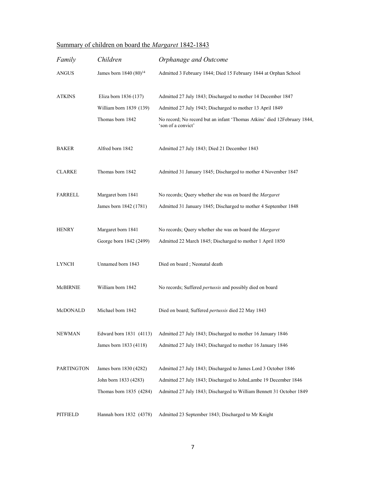|  | Summary of children on board the <i>Margaret</i> 1842-1843 |
|--|------------------------------------------------------------|
|  |                                                            |

| Family            | Children                           | Orphanage and Outcome                                                                          |
|-------------------|------------------------------------|------------------------------------------------------------------------------------------------|
| <b>ANGUS</b>      | James born 1840 (80) <sup>14</sup> | Admitted 3 February 1844; Died 15 February 1844 at Orphan School                               |
| <b>ATKINS</b>     | Eliza born 1836 (137)              | Admitted 27 July 1843; Discharged to mother 14 December 1847                                   |
|                   | William born 1839 (139)            | Admitted 27 July 1943; Discharged to mother 13 April 1849                                      |
|                   | Thomas born 1842                   | No record; No record but an infant 'Thomas Atkins' died 12February 1844,<br>'son of a convict' |
| <b>BAKER</b>      | Alfred born 1842                   | Admitted 27 July 1843; Died 21 December 1843                                                   |
| <b>CLARKE</b>     | Thomas born 1842                   | Admitted 31 January 1845; Discharged to mother 4 November 1847                                 |
| <b>FARRELL</b>    | Margaret born 1841                 | No records; Query whether she was on board the Margaret                                        |
|                   | James born 1842 (1781)             | Admitted 31 January 1845; Discharged to mother 4 September 1848                                |
| <b>HENRY</b>      | Margaret born 1841                 | No records; Query whether she was on board the Margaret                                        |
|                   | George born 1842 (2499)            | Admitted 22 March 1845; Discharged to mother 1 April 1850                                      |
| <b>LYNCH</b>      | Unnamed born 1843                  | Died on board ; Neonatal death                                                                 |
| McBIRNIE          | William born 1842                  | No records; Suffered pertussis and possibly died on board                                      |
| McDONALD          | Michael born 1842                  | Died on board; Suffered pertussis died 22 May 1843                                             |
| <b>NEWMAN</b>     | Edward born 1831 (4113)            | Admitted 27 July 1843; Discharged to mother 16 January 1846                                    |
|                   | James born 1833 (4118)             | Admitted 27 July 1843; Discharged to mother 16 January 1846                                    |
| <b>PARTINGTON</b> | James born 1830 (4282)             | Admitted 27 July 1843; Discharged to James Lord 3 October 1846                                 |
|                   | John born 1833 (4283)              | Admitted 27 July 1843; Discharged to JohnLambe 19 December 1846                                |
|                   | Thomas born 1835 (4284)            | Admitted 27 July 1843; Discharged to William Bennett 31 October 1849                           |
| PITFIELD          | Hannah born 1832 (4378)            | Admitted 23 September 1843; Discharged to Mr Knight                                            |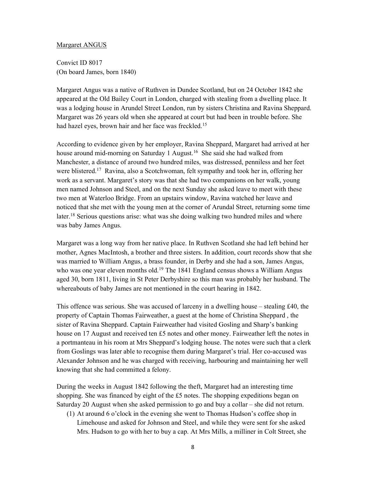#### Margaret ANGUS

Convict ID 8017 (On board James, born 1840)

Margaret Angus was a native of Ruthven in Dundee Scotland, but on 24 October 1842 she appeared at the Old Bailey Court in London, charged with stealing from a dwelling place. It was a lodging house in Arundel Street London, run by sisters Christina and Ravina Sheppard. Margaret was 26 years old when she appeared at court but had been in trouble before. She had hazel eyes, brown hair and her face was freckled.<sup>15</sup>

According to evidence given by her employer, Ravina Sheppard, Margaret had arrived at her house around mid-morning on Saturday 1 August.<sup>16</sup> She said she had walked from Manchester, a distance of around two hundred miles, was distressed, penniless and her feet were blistered.<sup>17</sup> Ravina, also a Scotchwoman, felt sympathy and took her in, offering her work as a servant. Margaret's story was that she had two companions on her walk, young men named Johnson and Steel, and on the next Sunday she asked leave to meet with these two men at Waterloo Bridge. From an upstairs window, Ravina watched her leave and noticed that she met with the young men at the corner of Arundal Street, returning some time later.<sup>18</sup> Serious questions arise: what was she doing walking two hundred miles and where was baby James Angus.

Margaret was a long way from her native place. In Ruthven Scotland she had left behind her mother, Agnes MacIntosh, a brother and three sisters. In addition, court records show that she was married to William Angus, a brass founder, in Derby and she had a son, James Angus, who was one year eleven months old.<sup>19</sup> The 1841 England census shows a William Angus aged 30, born 1811, living in St Peter Derbyshire so this man was probably her husband. The whereabouts of baby James are not mentioned in the court hearing in 1842.

This offence was serious. She was accused of larceny in a dwelling house – stealing  $\text{\pounds}40$ , the property of Captain Thomas Fairweather, a guest at the home of Christina Sheppard , the sister of Ravina Sheppard. Captain Fairweather had visited Gosling and Sharp's banking house on 17 August and received ten £5 notes and other money. Fairweather left the notes in a portmanteau in his room at Mrs Sheppard's lodging house. The notes were such that a clerk from Goslings was later able to recognise them during Margaret's trial. Her co-accused was Alexander Johnson and he was charged with receiving, harbouring and maintaining her well knowing that she had committed a felony.

During the weeks in August 1842 following the theft, Margaret had an interesting time shopping. She was financed by eight of the £5 notes. The shopping expeditions began on Saturday 20 August when she asked permission to go and buy a collar – she did not return.

(1) At around 6 o'clock in the evening she went to Thomas Hudson's coffee shop in Limehouse and asked for Johnson and Steel, and while they were sent for she asked Mrs. Hudson to go with her to buy a cap. At Mrs Mills, a milliner in Colt Street, she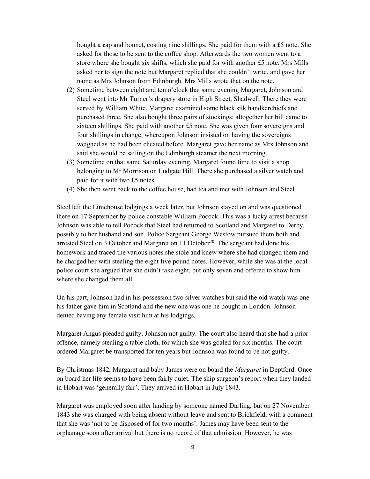bought a cap and bonnet, costing nine shillings. She paid for them with a £5 note. She asked for those to be sent to the coffee shop. Afterwards the two women went to a store where she bought six shifts, which she paid for with another £5 note. Mrs Mills asked her to sign the note but Margaret replied that she couldn't write, and gave her name as Mrs Johnson from Edinburgh. Mrs Mills wrote that on the note.

- (2) Sometime between eight and ten o'clock that same evening Margaret, Johnson and Steel went into Mr Turner's drapery store in High Street, Shadwell. There they were served by William White. Margaret examined some black silk handkerchiefs and purchased three. She also bought three pairs of stockings; altogether her bill came to sixteen shillings. She paid with another £5 note. She was given four sovereigns and four shillings in change, whereupon Johnson insisted on having the sovereigns weighed as he had been cheated before. Margaret gave her name as Mrs Johnson and said she would be sailing on the Edinburgh steamer the next morning.
- (3) Sometime on that same Saturday evening, Margaret found time to visit a shop belonging to Mr Morrison on Ludgate Hill. There she purchased a silver watch and paid for it with two £5 notes.
- (4) She then went back to the coffee house, had tea and met with Johnson and Steel.

Steel left the Limehouse lodgings a week later, but Johnson stayed on and was questioned there on 17 September by police constable William Pocock. This was a lucky arrest because Johnson was able to tell Pocock that Steel had returned to Scotland and Margaret to Derby, possibly to her husband and son. Police Sergeant George Westow pursued them both and arrested Steel on 3 October and Margaret on  $11$  October<sup>20</sup>. The sergeant had done his homework and traced the various notes she stole and knew where she had changed them and he charged her with stealing the eight five pound notes. However, while she was at the local police court she argued that she didn't take eight, but only seven and offered to show him where she changed them all.

On his part, Johnson had in his possession two silver watches but said the old watch was one his father gave him in Scotland and the new one was one he bought in London. Johnson denied having any female visit him at his lodgings.

Margaret Angus pleaded guilty, Johnson not guilty. The court also heard that she had a prior offence, namely stealing a table cloth, for which she was goaled for six months. The court ordered Margaret be transported for ten years but Johnson was found to be not guilty.

By Christmas 1842, Margaret and baby James were on board the Margaret in Deptford. Once on board her life seems to have been fairly quiet. The ship surgeon's report when they landed in Hobart was 'generally fair'. They arrived in Hobart in July 1843.

Margaret was employed soon after landing by someone named Darling, but on 27 November 1843 she was charged with being absent without leave and sent to Brickfield, with a comment that she was 'not to be disposed of for two months'. James may have been sent to the orphanage soon after arrival but there is no record of that admission. However, he was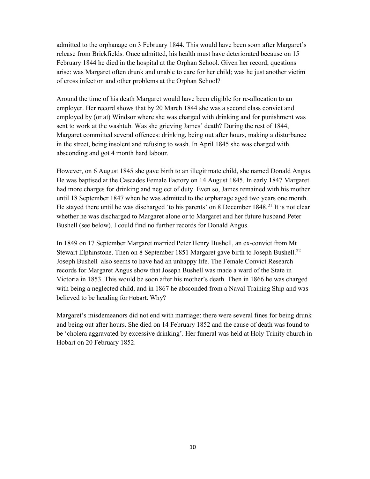admitted to the orphanage on 3 February 1844. This would have been soon after Margaret's release from Brickfields. Once admitted, his health must have deteriorated because on 15 February 1844 he died in the hospital at the Orphan School. Given her record, questions arise: was Margaret often drunk and unable to care for her child; was he just another victim of cross infection and other problems at the Orphan School?

Around the time of his death Margaret would have been eligible for re-allocation to an employer. Her record shows that by 20 March 1844 she was a second class convict and employed by (or at) Windsor where she was charged with drinking and for punishment was sent to work at the washtub. Was she grieving James' death? During the rest of 1844, Margaret committed several offences: drinking, being out after hours, making a disturbance in the street, being insolent and refusing to wash. In April 1845 she was charged with absconding and got 4 month hard labour.

However, on 6 August 1845 she gave birth to an illegitimate child, she named Donald Angus. He was baptised at the Cascades Female Factory on 14 August 1845. In early 1847 Margaret had more charges for drinking and neglect of duty. Even so, James remained with his mother until 18 September 1847 when he was admitted to the orphanage aged two years one month. He stayed there until he was discharged 'to his parents' on 8 December 1848.<sup>21</sup> It is not clear whether he was discharged to Margaret alone or to Margaret and her future husband Peter Bushell (see below). I could find no further records for Donald Angus.

In 1849 on 17 September Margaret married Peter Henry Bushell, an ex-convict from Mt Stewart Elphinstone. Then on 8 September 1851 Margaret gave birth to Joseph Bushell.<sup>22</sup> Joseph Bushell also seems to have had an unhappy life. The Female Convict Research records for Margaret Angus show that Joseph Bushell was made a ward of the State in Victoria in 1853. This would be soon after his mother's death. Then in 1866 he was charged with being a neglected child, and in 1867 he absconded from a Naval Training Ship and was believed to be heading for Hobart. Why?

Margaret's misdemeanors did not end with marriage: there were several fines for being drunk and being out after hours. She died on 14 February 1852 and the cause of death was found to be 'cholera aggravated by excessive drinking'. Her funeral was held at Holy Trinity church in Hobart on 20 February 1852.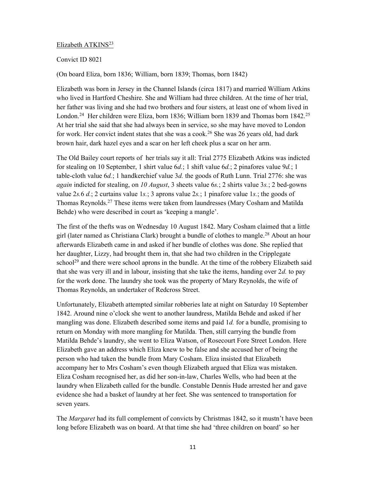## Elizabeth ATKINS<sup>23</sup>

#### Convict ID 8021

(On board Eliza, born 1836; William, born 1839; Thomas, born 1842)

Elizabeth was born in Jersey in the Channel Islands (circa 1817) and married William Atkins who lived in Hartford Cheshire. She and William had three children. At the time of her trial, her father was living and she had two brothers and four sisters, at least one of whom lived in London.<sup>24</sup> Her children were Eliza, born 1836; William born 1839 and Thomas born 1842.<sup>25</sup> At her trial she said that she had always been in service, so she may have moved to London for work. Her convict indent states that she was a cook.<sup>26</sup> She was 26 years old, had dark brown hair, dark hazel eyes and a scar on her left cheek plus a scar on her arm.

The Old Bailey court reports of her trials say it all: Trial 2775 Elizabeth Atkins was indicted for stealing on 10 September, 1 shirt value  $6d$ ; 1 shift value  $6d$ ; 2 pinafores value  $9d$ ; 1 table-cloth value  $6d$ ; 1 handkerchief value 3d. the goods of Ruth Lunn. Trial 2776: she was again indicted for stealing, on 10 August, 3 sheets value 6s.; 2 shirts value 3s.; 2 bed-gowns value 2s.6 d.; 2 curtains value 1s.; 3 aprons value 2s.; 1 pinafore value 1s.; the goods of Thomas Reynolds.<sup>27</sup> These items were taken from laundresses (Mary Cosham and Matilda Behde) who were described in court as 'keeping a mangle'.

The first of the thefts was on Wednesday 10 August 1842. Mary Cosham claimed that a little girl (later named as Christiana Clark) brought a bundle of clothes to mangle.<sup>28</sup> About an hour afterwards Elizabeth came in and asked if her bundle of clothes was done. She replied that her daughter, Lizzy, had brought them in, that she had two children in the Cripplegate school<sup>29</sup> and there were school aprons in the bundle. At the time of the robbery Elizabeth said that she was very ill and in labour, insisting that she take the items, handing over 2d. to pay for the work done. The laundry she took was the property of Mary Reynolds, the wife of Thomas Reynolds, an undertaker of Redcross Street.

Unfortunately, Elizabeth attempted similar robberies late at night on Saturday 10 September 1842. Around nine o'clock she went to another laundress, Matilda Behde and asked if her mangling was done. Elizabeth described some items and paid  $1d$ . for a bundle, promising to return on Monday with more mangling for Matilda. Then, still carrying the bundle from Matilda Behde's laundry, she went to Eliza Watson, of Rosecourt Fore Street London. Here Elizabeth gave an address which Eliza knew to be false and she accused her of being the person who had taken the bundle from Mary Cosham. Eliza insisted that Elizabeth accompany her to Mrs Cosham's even though Elizabeth argued that Eliza was mistaken. Eliza Cosham recognised her, as did her son-in-law, Charles Wells, who had been at the laundry when Elizabeth called for the bundle. Constable Dennis Hude arrested her and gave evidence she had a basket of laundry at her feet. She was sentenced to transportation for seven years.

The *Margaret* had its full complement of convicts by Christmas 1842, so it mustn't have been long before Elizabeth was on board. At that time she had 'three children on board' so her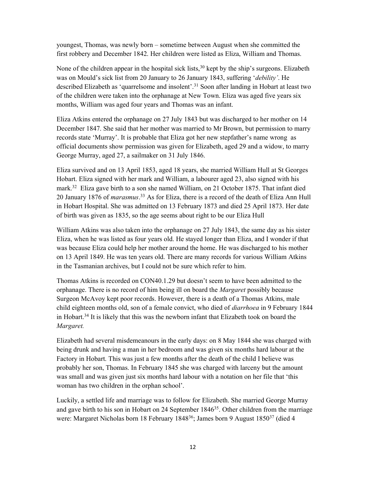youngest, Thomas, was newly born – sometime between August when she committed the first robbery and December 1842. Her children were listed as Eliza, William and Thomas.

None of the children appear in the hospital sick lists,  $30$  kept by the ship's surgeons. Elizabeth was on Mould's sick list from 20 January to 26 January 1843, suffering '*debility*'. He described Elizabeth as 'quarrelsome and insolent'.<sup>31</sup> Soon after landing in Hobart at least two of the children were taken into the orphanage at New Town. Eliza was aged five years six months, William was aged four years and Thomas was an infant.

Eliza Atkins entered the orphanage on 27 July 1843 but was discharged to her mother on 14 December 1847. She said that her mother was married to Mr Brown, but permission to marry records state 'Murray'. It is probable that Eliza got her new stepfather's name wrong as official documents show permission was given for Elizabeth, aged 29 and a widow, to marry George Murray, aged 27, a sailmaker on 31 July 1846.

Eliza survived and on 13 April 1853, aged 18 years, she married William Hull at St Georges Hobart. Eliza signed with her mark and William, a labourer aged 23, also signed with his mark.<sup>32</sup> Eliza gave birth to a son she named William, on 21 October 1875. That infant died 20 January 1876 of *marasmus*.<sup>33</sup> As for Eliza, there is a record of the death of Eliza Ann Hull in Hobart Hospital. She was admitted on 13 February 1873 and died 25 April 1873. Her date of birth was given as 1835, so the age seems about right to be our Eliza Hull

William Atkins was also taken into the orphanage on 27 July 1843, the same day as his sister Eliza, when he was listed as four years old. He stayed longer than Eliza, and I wonder if that was because Eliza could help her mother around the home. He was discharged to his mother on 13 April 1849. He was ten years old. There are many records for various William Atkins in the Tasmanian archives, but I could not be sure which refer to him.

Thomas Atkins is recorded on CON40.1.29 but doesn't seem to have been admitted to the orphanage. There is no record of him being ill on board the *Margaret* possibly because Surgeon McAvoy kept poor records. However, there is a death of a Thomas Atkins, male child eighteen months old, son of a female convict, who died of *diarrhoea* in 9 February 1844 in Hobart.<sup>34</sup> It is likely that this was the newborn infant that Elizabeth took on board the Margaret.

Elizabeth had several misdemeanours in the early days: on 8 May 1844 she was charged with being drunk and having a man in her bedroom and was given six months hard labour at the Factory in Hobart. This was just a few months after the death of the child I believe was probably her son, Thomas. In February 1845 she was charged with larceny but the amount was small and was given just six months hard labour with a notation on her file that 'this woman has two children in the orphan school'.

Luckily, a settled life and marriage was to follow for Elizabeth. She married George Murray and gave birth to his son in Hobart on 24 September  $1846^{35}$ . Other children from the marriage were: Margaret Nicholas born 18 February 1848 $36$ ; James born 9 August 1850 $37$  (died 4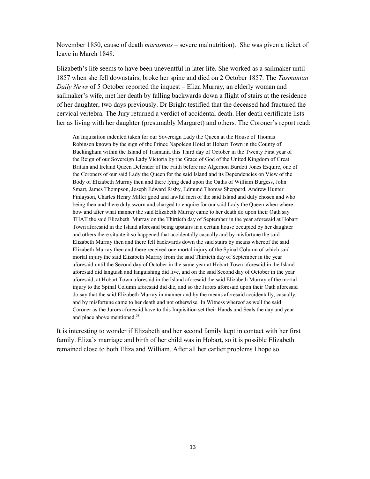November 1850, cause of death *marasmus* – severe malnutrition). She was given a ticket of leave in March 1848.

Elizabeth's life seems to have been uneventful in later life. She worked as a sailmaker until 1857 when she fell downstairs, broke her spine and died on 2 October 1857. The Tasmanian Daily News of 5 October reported the inquest – Eliza Murray, an elderly woman and sailmaker's wife, met her death by falling backwards down a flight of stairs at the residence of her daughter, two days previously. Dr Bright testified that the deceased had fractured the cervical vertebra. The Jury returned a verdict of accidental death. Her death certificate lists her as living with her daughter (presumably Margaret) and others. The Coroner's report read:

An Inquisition indented taken for our Sovereign Lady the Queen at the House of Thomas Robinson known by the sign of the Prince Napoleon Hotel at Hobart Town in the County of Buckingham within the Island of Tasmania this Third day of October in the Twenty First year of the Reign of our Sovereign Lady Victoria by the Grace of God of the United Kingdom of Great Britain and Ireland Queen Defender of the Faith before me Algernon Burdett Jones Esquire, one of the Coroners of our said Lady the Queen for the said Island and its Dependencies on View of the Body of Elizabeth Murray then and there lying dead upon the Oaths of William Burgess, John Smart, James Thompson, Joseph Edward Risby, Edmund Thomas Shepperd, Andrew Hunter Finlayson, Charles Henry Miller good and lawful men of the said Island and duly chosen and who being then and there duly sworn and charged to enquire for our said Lady the Queen when where how and after what manner the said Elizabeth Murray came to her death do upon their Oath say THAT the said Elizabeth Murray on the Thirtieth day of September in the year aforesaid at Hobart Town aforesaid in the Island aforesaid being upstairs in a certain house occupied by her daughter and others there situate it so happened that accidentally casually and by misfortune the said Elizabeth Murray then and there fell backwards down the said stairs by means whereof the said Elizabeth Murray then and there received one mortal injury of the Spinal Column of which said mortal injury the said Elizabeth Murray from the said Thirtieth day of September in the year aforesaid until the Second day of October in the same year at Hobart Town aforesaid in the Island aforesaid did languish and languishing did live, and on the said Second day of October in the year aforesaid, at Hobart Town aforesaid in the Island aforesaid the said Elizabeth Murray of the mortal injury to the Spinal Column aforesaid did die, and so the Jurors aforesaid upon their Oath aforesaid do say that the said Elizabeth Murray in manner and by the means aforesaid accidentally, casually, and by misfortune came to her death and not otherwise. In Witness whereof as well the said Coroner as the Jurors aforesaid have to this Inquisition set their Hands and Seals the day and year and place above mentioned.<sup>38</sup>

It is interesting to wonder if Elizabeth and her second family kept in contact with her first family. Eliza's marriage and birth of her child was in Hobart, so it is possible Elizabeth remained close to both Eliza and William. After all her earlier problems I hope so.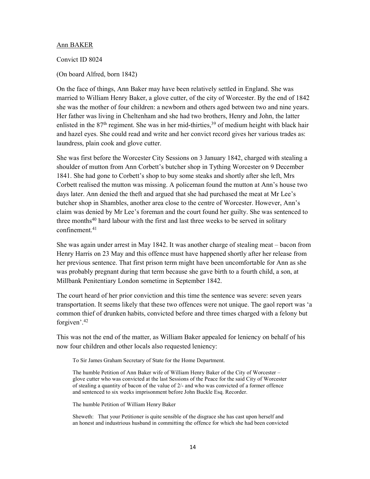#### Ann BAKER

Convict ID 8024

(On board Alfred, born 1842)

On the face of things, Ann Baker may have been relatively settled in England. She was married to William Henry Baker, a glove cutter, of the city of Worcester. By the end of 1842 she was the mother of four children: a newborn and others aged between two and nine years. Her father was living in Cheltenham and she had two brothers, Henry and John, the latter enlisted in the  $87<sup>th</sup>$  regiment. She was in her mid-thirties,<sup>39</sup> of medium height with black hair and hazel eyes. She could read and write and her convict record gives her various trades as: laundress, plain cook and glove cutter.

She was first before the Worcester City Sessions on 3 January 1842, charged with stealing a shoulder of mutton from Ann Corbett's butcher shop in Tything Worcester on 9 December 1841. She had gone to Corbett's shop to buy some steaks and shortly after she left, Mrs Corbett realised the mutton was missing. A policeman found the mutton at Ann's house two days later. Ann denied the theft and argued that she had purchased the meat at Mr Lee's butcher shop in Shambles, another area close to the centre of Worcester. However, Ann's claim was denied by Mr Lee's foreman and the court found her guilty. She was sentenced to three months<sup>40</sup> hard labour with the first and last three weeks to be served in solitary confinement.<sup>41</sup>

She was again under arrest in May 1842. It was another charge of stealing meat – bacon from Henry Harris on 23 May and this offence must have happened shortly after her release from her previous sentence. That first prison term might have been uncomfortable for Ann as she was probably pregnant during that term because she gave birth to a fourth child, a son, at Millbank Penitentiary London sometime in September 1842.

The court heard of her prior conviction and this time the sentence was severe: seven years transportation. It seems likely that these two offences were not unique. The gaol report was 'a common thief of drunken habits, convicted before and three times charged with a felony but forgiven'.<sup>42</sup>

This was not the end of the matter, as William Baker appealed for leniency on behalf of his now four children and other locals also requested leniency:

To Sir James Graham Secretary of State for the Home Department.

The humble Petition of Ann Baker wife of William Henry Baker of the City of Worcester – glove cutter who was convicted at the last Sessions of the Peace for the said City of Worcester of stealing a quantity of bacon of the value of 2/- and who was convicted of a former offence and sentenced to six weeks imprisonment before John Buckle Esq. Recorder.

The humble Petition of William Henry Baker

Sheweth: That your Petitioner is quite sensible of the disgrace she has cast upon herself and an honest and industrious husband in committing the offence for which she had been convicted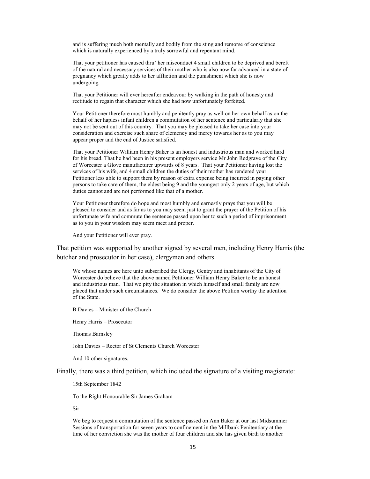and is suffering much both mentally and bodily from the sting and remorse of conscience which is naturally experienced by a truly sorrowful and repentant mind.

That your petitioner has caused thru' her misconduct 4 small children to be deprived and bereft of the natural and necessary services of their mother who is also now far advanced in a state of pregnancy which greatly adds to her affliction and the punishment which she is now undergoing.

That your Petitioner will ever hereafter endeavour by walking in the path of honesty and rectitude to regain that character which she had now unfortunately forfeited.

Your Petitioner therefore most humbly and penitently pray as well on her own behalf as on the behalf of her hapless infant children a commutation of her sentence and particularly that she may not be sent out of this country. That you may be pleased to take her case into your consideration and exercise such share of clemency and mercy towards her as to you may appear proper and the end of Justice satisfied.

That your Petitioner William Henry Baker is an honest and industrious man and worked hard for his bread. That he had been in his present employers service Mr John Redgrave of the City of Worcester a Glove manufacturer upwards of 8 years. That your Petitioner having lost the services of his wife, and 4 small children the duties of their mother has rendered your Petitioner less able to support them by reason of extra expense being incurred in paying other persons to take care of them, the eldest being 9 and the youngest only 2 years of age, but which duties cannot and are not performed like that of a mother.

Your Petitioner therefore do hope and most humbly and earnestly prays that you will be pleased to consider and as far as to you may seem just to grant the prayer of the Petition of his unfortunate wife and commute the sentence passed upon her to such a period of imprisonment as to you in your wisdom may seem meet and proper.

And your Petitioner will ever pray.

That petition was supported by another signed by several men, including Henry Harris (the butcher and prosecutor in her case), clergymen and others.

We whose names are here unto subscribed the Clergy, Gentry and inhabitants of the City of Worcester do believe that the above named Petitioner William Henry Baker to be an honest and industrious man. That we pity the situation in which himself and small family are now placed that under such circumstances. We do consider the above Petition worthy the attention of the State.

B Davies – Minister of the Church

Henry Harris – Prosecutor

Thomas Barnsley

John Davies – Rector of St Clements Church Worcester

And 10 other signatures.

Finally, there was a third petition, which included the signature of a visiting magistrate:

15th September 1842

To the Right Honourable Sir James Graham

Sir

We beg to request a commutation of the sentence passed on Ann Baker at our last Midsummer Sessions of transportation for seven years to confinement in the Millbank Penitentiary at the time of her conviction she was the mother of four children and she has given birth to another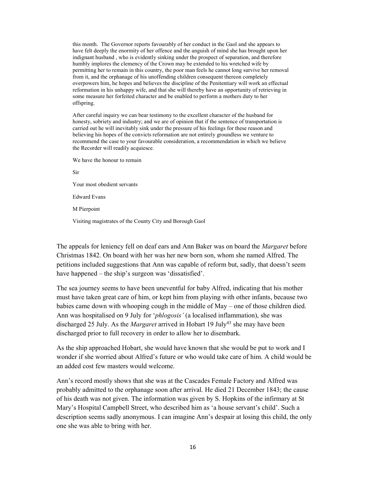this month. The Governor reports favourably of her conduct in the Gaol and she appears to have felt deeply the enormity of her offence and the anguish of mind she has brought upon her indignant husband , who is evidently sinking under the prospect of separation, and therefore humbly implores the clemency of the Crown may be extended to his wretched wife by permitting her to remain in this country, the poor man feels he cannot long survive her removal from it, and the orphanage of his unoffending children consequent thereon completely overpowers him, he hopes and believes the discipline of the Penitentiary will work an effectual reformation in his unhappy wife, and that she will thereby have an opportunity of retrieving in some measure her forfeited character and be enabled to perform a mothers duty to her offspring.

After careful inquiry we can bear testimony to the excellent character of the husband for honesty, sobriety and industry; and we are of opinion that if the sentence of transportation is carried out he will inevitably sink under the pressure of his feelings for these reason and believing his hopes of the convicts reformation are not entirely groundless we venture to recommend the case to your favourable consideration, a recommendation in which we believe the Recorder will readily acquiesce.

We have the honour to remain

Sir

Your most obedient servants

Edward Evans

M Pierpoint

Visiting magistrates of the County City and Borough Gaol

The appeals for leniency fell on deaf ears and Ann Baker was on board the Margaret before Christmas 1842. On board with her was her new born son, whom she named Alfred. The petitions included suggestions that Ann was capable of reform but, sadly, that doesn't seem have happened – the ship's surgeon was 'dissatisfied'.

The sea journey seems to have been uneventful for baby Alfred, indicating that his mother must have taken great care of him, or kept him from playing with other infants, because two babies came down with whooping cough in the middle of May – one of those children died. Ann was hospitalised on 9 July for '*phlogosis'* (a localised inflammation), she was discharged 25 July. As the *Margaret* arrived in Hobart 19 July<sup>43</sup> she may have been discharged prior to full recovery in order to allow her to disembark.

As the ship approached Hobart, she would have known that she would be put to work and I wonder if she worried about Alfred's future or who would take care of him. A child would be an added cost few masters would welcome.

Ann's record mostly shows that she was at the Cascades Female Factory and Alfred was probably admitted to the orphanage soon after arrival. He died 21 December 1843; the cause of his death was not given. The information was given by S. Hopkins of the infirmary at St Mary's Hospital Campbell Street, who described him as 'a house servant's child'. Such a description seems sadly anonymous. I can imagine Ann's despair at losing this child, the only one she was able to bring with her.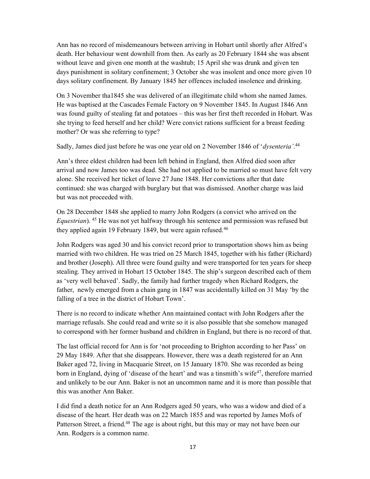Ann has no record of misdemeanours between arriving in Hobart until shortly after Alfred's death. Her behaviour went downhill from then. As early as 20 February 1844 she was absent without leave and given one month at the washtub; 15 April she was drunk and given ten days punishment in solitary confinement; 3 October she was insolent and once more given 10 days solitary confinement. By January 1845 her offences included insolence and drinking.

On 3 November tha1845 she was delivered of an illegitimate child whom she named James. He was baptised at the Cascades Female Factory on 9 November 1845. In August 1846 Ann was found guilty of stealing fat and potatoes – this was her first theft recorded in Hobart. Was she trying to feed herself and her child? Were convict rations sufficient for a breast feeding mother? Or was she referring to type?

Sadly, James died just before he was one year old on 2 November 1846 of 'dysenteria'.<sup>44</sup>

Ann's three eldest children had been left behind in England, then Alfred died soon after arrival and now James too was dead. She had not applied to be married so must have felt very alone. She received her ticket of leave 27 June 1848. Her convictions after that date continued: she was charged with burglary but that was dismissed. Another charge was laid but was not proceeded with.

On 28 December 1848 she applied to marry John Rodgers (a convict who arrived on the *Equestrian*). <sup>45</sup> He was not yet halfway through his sentence and permission was refused but they applied again 19 February 1849, but were again refused.<sup>46</sup>

John Rodgers was aged 30 and his convict record prior to transportation shows him as being married with two children. He was tried on 25 March 1845, together with his father (Richard) and brother (Joseph). All three were found guilty and were transported for ten years for sheep stealing. They arrived in Hobart 15 October 1845. The ship's surgeon described each of them as 'very well behaved'. Sadly, the family had further tragedy when Richard Rodgers, the father, newly emerged from a chain gang in 1847 was accidentally killed on 31 May 'by the falling of a tree in the district of Hobart Town'.

There is no record to indicate whether Ann maintained contact with John Rodgers after the marriage refusals. She could read and write so it is also possible that she somehow managed to correspond with her former husband and children in England, but there is no record of that.

The last official record for Ann is for 'not proceeding to Brighton according to her Pass' on 29 May 1849. After that she disappears. However, there was a death registered for an Ann Baker aged 72, living in Macquarie Street, on 15 January 1870. She was recorded as being born in England, dying of 'disease of the heart' and was a tinsmith's wife<sup>47</sup>, therefore married and unlikely to be our Ann. Baker is not an uncommon name and it is more than possible that this was another Ann Baker.

I did find a death notice for an Ann Rodgers aged 50 years, who was a widow and died of a disease of the heart. Her death was on 22 March 1855 and was reported by James Mofs of Patterson Street, a friend.<sup>48</sup> The age is about right, but this may or may not have been our Ann. Rodgers is a common name.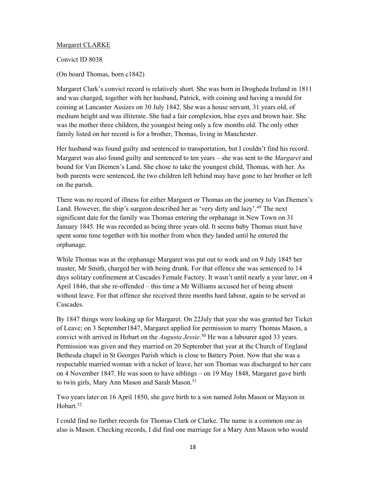## Margaret CLARKE

Convict ID 8038

(On board Thomas, born c1842)

Margaret Clark's convict record is relatively short. She was born in Drogheda Ireland in 1811 and was charged, together with her husband, Patrick, with coining and having a mould for coining at Lancaster Assizes on 30 July 1842. She was a house servant, 31 years old, of medium height and was illiterate. She had a fair complexion, blue eyes and brown hair. She was the mother three children, the youngest being only a few months old. The only other family listed on her record is for a brother, Thomas, living in Manchester.

Her husband was found guilty and sentenced to transportation, but I couldn't find his record. Margaret was also found guilty and sentenced to ten years – she was sent to the *Margaret* and bound for Van Diemen's Land. She chose to take the youngest child, Thomas, with her. As both parents were sentenced, the two children left behind may have gone to her brother or left on the parish.

There was no record of illness for either Margaret or Thomas on the journey to Van Diemen's Land. However, the ship's surgeon described her as 'very dirty and lazy'.<sup>49</sup> The next significant date for the family was Thomas entering the orphanage in New Town on 31 January 1845. He was recorded as being three years old. It seems baby Thomas must have spent some time together with his mother from when they landed until he entered the orphanage.

While Thomas was at the orphanage Margaret was put out to work and on 9 July 1845 her master, Mr Smith, charged her with being drunk. For that offence she was sentenced to 14 days solitary confinement at Cascades Female Factory. It wasn't until nearly a year later, on 4 April 1846, that she re-offended – this time a Mr Williams accused her of being absent without leave. For that offence she received three months hard labour, again to be served at Cascades.

By 1847 things were looking up for Margaret. On 22July that year she was granted her Ticket of Leave; on 3 September1847, Margaret applied for permission to marry Thomas Mason, a convict with arrived in Hobart on the *Augusta Jessie*.<sup>50</sup> He was a labourer aged 33 years. Permission was given and they married on 20 September that year at the Church of England Bethesda chapel in St Georges Parish which is close to Battery Point. Now that she was a respectable married woman with a ticket of leave, her son Thomas was discharged to her care on 4 November 1847. He was soon to have siblings – on 19 May 1848, Margaret gave birth to twin girls, Mary Ann Mason and Sarah Mason.<sup>51</sup>

Two years later on 16 April 1850, she gave birth to a son named John Mason or Mayson in Hobart.<sup>52</sup>

I could find no further records for Thomas Clark or Clarke. The name is a common one as also is Mason. Checking records, I did find one marriage for a Mary Ann Mason who would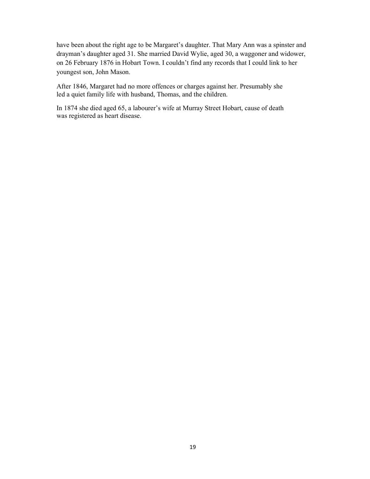have been about the right age to be Margaret's daughter. That Mary Ann was a spinster and drayman's daughter aged 31. She married David Wylie, aged 30, a waggoner and widower, on 26 February 1876 in Hobart Town. I couldn't find any records that I could link to her youngest son, John Mason.

After 1846, Margaret had no more offences or charges against her. Presumably she led a quiet family life with husband, Thomas, and the children.

In 1874 she died aged 65, a labourer's wife at Murray Street Hobart, cause of death was registered as heart disease.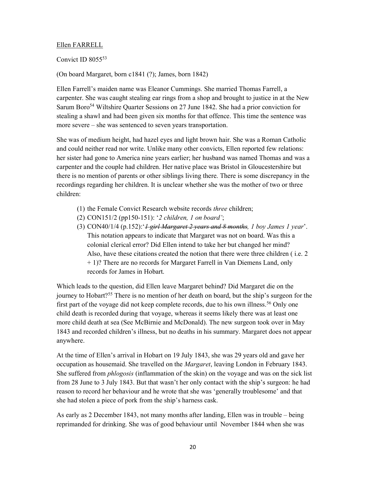## Ellen FARRELL

## Convict ID 8055<sup>53</sup>

(On board Margaret, born c1841 (?); James, born 1842)

Ellen Farrell's maiden name was Eleanor Cummings. She married Thomas Farrell, a carpenter. She was caught stealing ear rings from a shop and brought to justice in at the New Sarum Boro<sup>54</sup> Wiltshire Quarter Sessions on 27 June 1842. She had a prior conviction for stealing a shawl and had been given six months for that offence. This time the sentence was more severe – she was sentenced to seven years transportation.

She was of medium height, had hazel eyes and light brown hair. She was a Roman Catholic and could neither read nor write. Unlike many other convicts, Ellen reported few relations: her sister had gone to America nine years earlier; her husband was named Thomas and was a carpenter and the couple had children. Her native place was Bristol in Gloucestershire but there is no mention of parents or other siblings living there. There is some discrepancy in the recordings regarding her children. It is unclear whether she was the mother of two or three children:

- (1) the Female Convict Research website records three children;
- (2) CON151/2 (pp150-151): '2 children, 1 on board';
- (3) CON40/1/4 (p.152):  $\frac{1}{1}$  girl Margaret 2 years and 8 months, 1 boy James 1 year'. This notation appears to indicate that Margaret was not on board. Was this a colonial clerical error? Did Ellen intend to take her but changed her mind? Also, have these citations created the notion that there were three children ( i.e. 2 + 1)? There are no records for Margaret Farrell in Van Diemens Land, only records for James in Hobart.

Which leads to the question, did Ellen leave Margaret behind? Did Margaret die on the journey to Hobart?<sup>55</sup> There is no mention of her death on board, but the ship's surgeon for the first part of the voyage did not keep complete records, due to his own illness.<sup>56</sup> Only one child death is recorded during that voyage, whereas it seems likely there was at least one more child death at sea (See McBirnie and McDonald). The new surgeon took over in May 1843 and recorded children's illness, but no deaths in his summary. Margaret does not appear anywhere.

At the time of Ellen's arrival in Hobart on 19 July 1843, she was 29 years old and gave her occupation as housemaid. She travelled on the *Margaret*, leaving London in February 1843. She suffered from phlogosis (inflammation of the skin) on the voyage and was on the sick list from 28 June to 3 July 1843. But that wasn't her only contact with the ship's surgeon: he had reason to record her behaviour and he wrote that she was 'generally troublesome' and that she had stolen a piece of pork from the ship's harness cask.

As early as 2 December 1843, not many months after landing, Ellen was in trouble – being reprimanded for drinking. She was of good behaviour until November 1844 when she was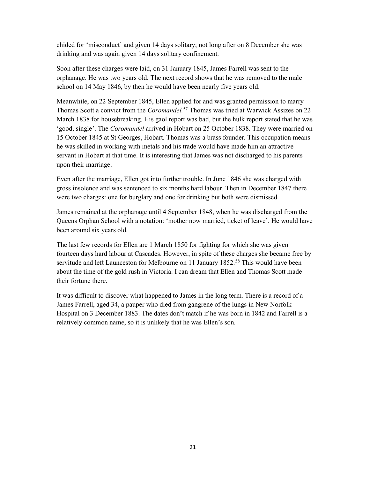chided for 'misconduct' and given 14 days solitary; not long after on 8 December she was drinking and was again given 14 days solitary confinement.

Soon after these charges were laid, on 31 January 1845, James Farrell was sent to the orphanage. He was two years old. The next record shows that he was removed to the male school on 14 May 1846, by then he would have been nearly five years old.

Meanwhile, on 22 September 1845, Ellen applied for and was granted permission to marry Thomas Scott a convict from the *Coromandel*.<sup>57</sup> Thomas was tried at Warwick Assizes on 22 March 1838 for housebreaking. His gaol report was bad, but the hulk report stated that he was 'good, single'. The Coromandel arrived in Hobart on 25 October 1838. They were married on 15 October 1845 at St Georges, Hobart. Thomas was a brass founder. This occupation means he was skilled in working with metals and his trade would have made him an attractive servant in Hobart at that time. It is interesting that James was not discharged to his parents upon their marriage.

Even after the marriage, Ellen got into further trouble. In June 1846 she was charged with gross insolence and was sentenced to six months hard labour. Then in December 1847 there were two charges: one for burglary and one for drinking but both were dismissed.

James remained at the orphanage until 4 September 1848, when he was discharged from the Queens Orphan School with a notation: 'mother now married, ticket of leave'. He would have been around six years old.

The last few records for Ellen are 1 March 1850 for fighting for which she was given fourteen days hard labour at Cascades. However, in spite of these charges she became free by servitude and left Launceston for Melbourne on 11 January 1852.<sup>58</sup> This would have been about the time of the gold rush in Victoria. I can dream that Ellen and Thomas Scott made their fortune there.

It was difficult to discover what happened to James in the long term. There is a record of a James Farrell, aged 34, a pauper who died from gangrene of the lungs in New Norfolk Hospital on 3 December 1883. The dates don't match if he was born in 1842 and Farrell is a relatively common name, so it is unlikely that he was Ellen's son.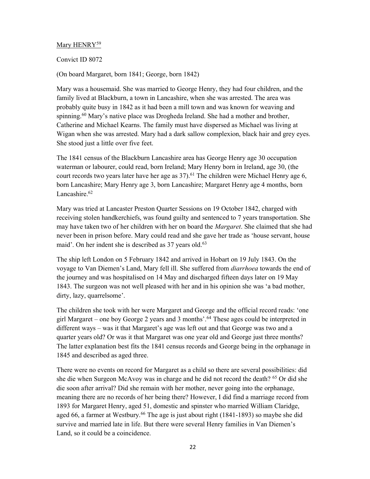## Mary HENRY<sup>59</sup>

Convict ID 8072

(On board Margaret, born 1841; George, born 1842)

Mary was a housemaid. She was married to George Henry, they had four children, and the family lived at Blackburn, a town in Lancashire, when she was arrested. The area was probably quite busy in 1842 as it had been a mill town and was known for weaving and spinning.<sup>60</sup> Mary's native place was Drogheda Ireland. She had a mother and brother, Catherine and Michael Kearns. The family must have dispersed as Michael was living at Wigan when she was arrested. Mary had a dark sallow complexion, black hair and grey eyes. She stood just a little over five feet.

The 1841 census of the Blackburn Lancashire area has George Henry age 30 occupation waterman or labourer, could read, born Ireland; Mary Henry born in Ireland, age 30, (the court records two years later have her age as  $37$ <sup>61</sup>. The children were Michael Henry age 6, born Lancashire; Mary Henry age 3, born Lancashire; Margaret Henry age 4 months, born Lancashire. $62$ 

Mary was tried at Lancaster Preston Quarter Sessions on 19 October 1842, charged with receiving stolen handkerchiefs, was found guilty and sentenced to 7 years transportation. She may have taken two of her children with her on board the *Margaret*. She claimed that she had never been in prison before. Mary could read and she gave her trade as 'house servant, house maid'. On her indent she is described as 37 years old.<sup>63</sup>

The ship left London on 5 February 1842 and arrived in Hobart on 19 July 1843. On the voyage to Van Diemen's Land, Mary fell ill. She suffered from *diarrhoea* towards the end of the journey and was hospitalised on 14 May and discharged fifteen days later on 19 May 1843. The surgeon was not well pleased with her and in his opinion she was 'a bad mother, dirty, lazy, quarrelsome'.

The children she took with her were Margaret and George and the official record reads: 'one girl Margaret – one boy George 2 years and 3 months'.<sup>64</sup> These ages could be interpreted in different ways – was it that Margaret's age was left out and that George was two and a quarter years old? Or was it that Margaret was one year old and George just three months? The latter explanation best fits the 1841 census records and George being in the orphanage in 1845 and described as aged three.

There were no events on record for Margaret as a child so there are several possibilities: did she die when Surgeon McAvoy was in charge and he did not record the death? <sup>65</sup> Or did she die soon after arrival? Did she remain with her mother, never going into the orphanage, meaning there are no records of her being there? However, I did find a marriage record from 1893 for Margaret Henry, aged 51, domestic and spinster who married William Claridge, aged 66, a farmer at Westbury.<sup>66</sup> The age is just about right (1841-1893) so maybe she did survive and married late in life. But there were several Henry families in Van Diemen's Land, so it could be a coincidence.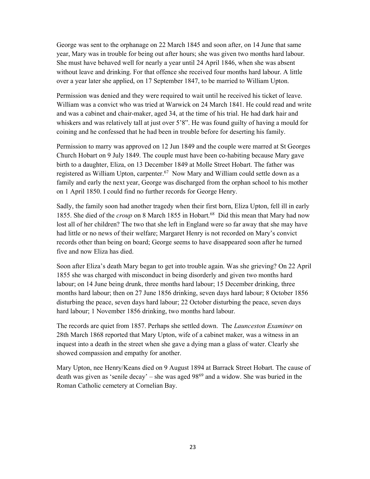George was sent to the orphanage on 22 March 1845 and soon after, on 14 June that same year, Mary was in trouble for being out after hours; she was given two months hard labour. She must have behaved well for nearly a year until 24 April 1846, when she was absent without leave and drinking. For that offence she received four months hard labour. A little over a year later she applied, on 17 September 1847, to be married to William Upton.

Permission was denied and they were required to wait until he received his ticket of leave. William was a convict who was tried at Warwick on 24 March 1841. He could read and write and was a cabinet and chair-maker, aged 34, at the time of his trial. He had dark hair and whiskers and was relatively tall at just over 5'8". He was found guilty of having a mould for coining and he confessed that he had been in trouble before for deserting his family.

Permission to marry was approved on 12 Jun 1849 and the couple were marred at St Georges Church Hobart on 9 July 1849. The couple must have been co-habiting because Mary gave birth to a daughter, Eliza, on 13 December 1849 at Molle Street Hobart. The father was registered as William Upton, carpenter.<sup>67</sup> Now Mary and William could settle down as a family and early the next year, George was discharged from the orphan school to his mother on 1 April 1850. I could find no further records for George Henry.

Sadly, the family soon had another tragedy when their first born, Eliza Upton, fell ill in early 1855. She died of the *croup* on 8 March 1855 in Hobart.<sup>68</sup> Did this mean that Mary had now lost all of her children? The two that she left in England were so far away that she may have had little or no news of their welfare; Margaret Henry is not recorded on Mary's convict records other than being on board; George seems to have disappeared soon after he turned five and now Eliza has died.

Soon after Eliza's death Mary began to get into trouble again. Was she grieving? On 22 April 1855 she was charged with misconduct in being disorderly and given two months hard labour; on 14 June being drunk, three months hard labour; 15 December drinking, three months hard labour; then on 27 June 1856 drinking, seven days hard labour; 8 October 1856 disturbing the peace, seven days hard labour; 22 October disturbing the peace, seven days hard labour; 1 November 1856 drinking, two months hard labour.

The records are quiet from 1857. Perhaps she settled down. The *Launceston Examiner* on 28th March 1868 reported that Mary Upton, wife of a cabinet maker, was a witness in an inquest into a death in the street when she gave a dying man a glass of water. Clearly she showed compassion and empathy for another.

Mary Upton, nee Henry/Keans died on 9 August 1894 at Barrack Street Hobart. The cause of death was given as 'senile decay' – she was aged  $98^{69}$  and a widow. She was buried in the Roman Catholic cemetery at Cornelian Bay.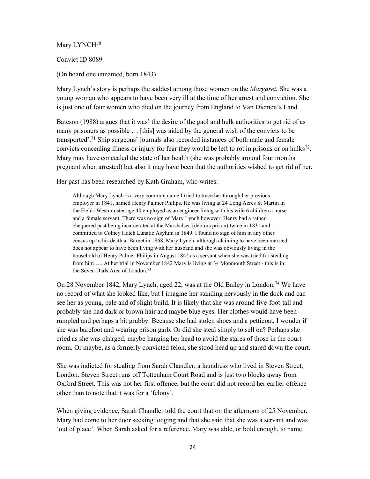## Mary LYNCH<sup>70</sup>

Convict ID 8089

(On board one unnamed, born 1843)

Mary Lynch's story is perhaps the saddest among those women on the *Margaret*. She was a young woman who appears to have been very ill at the time of her arrest and conviction. She is just one of four women who died on the journey from England to Van Diemen's Land.

Bateson (1988) argues that it was' the desire of the gaol and hulk authorities to get rid of as many prisoners as possible … [this] was aided by the general wish of the convicts to be transported'.<sup>71</sup> Ship surgeons' journals also recorded instances of both male and female convicts concealing illness or injury for fear they would be left to rot in prisons or on hulks $^{72}$ . Mary may have concealed the state of her health (she was probably around four months pregnant when arrested) but also it may have been that the authorities wished to get rid of her.

Her past has been researched by Kath Graham, who writes:

Although Mary Lynch is a very common name I tried to trace her through her previous employer in 1841, named Henry Palmer Philips. He was living at 24 Long Acres St Martin in the Fields Westminster age 40 employed as an engineer living with his wife 6 children a nurse and a female servant. There was no sign of Mary Lynch however. Henry had a rather chequered past being incarcerated at the Marshalsea (debtors prison) twice in 1831 and committed to Colney Hatch Lunatic Asylum in 1849. I found no sign of him in any other census up to his death at Barnet in 1868. Mary Lynch, although claiming to have been married, does not appear to have been living with her husband and she was obviously living in the household of Henry Palmer Philips in August 1842 as a servant when she was tried for stealing from him….. At her trial in November 1842 Mary is living at 34 Monmouth Street - this is in the Seven Dials Area of London.<sup>73</sup>

On 28 November 1842, Mary Lynch, aged 22, was at the Old Bailey in London.<sup>74</sup> We have no record of what she looked like, but I imagine her standing nervously in the dock and can see her as young, pale and of slight build. It is likely that she was around five-foot-tall and probably she had dark or brown hair and maybe blue eyes. Her clothes would have been rumpled and perhaps a bit grubby. Because she had stolen shoes and a petticoat, I wonder if she was barefoot and wearing prison garb. Or did she steal simply to sell on? Perhaps she cried as she was charged, maybe hanging her head to avoid the stares of those in the court room. Or maybe, as a formerly convicted felon, she stood head up and stared down the court.

She was indicted for stealing from Sarah Chandler, a laundress who lived in Steven Street, London. Steven Street runs off Tottenham Court Road and is just two blocks away from Oxford Street. This was not her first offence, but the court did not record her earlier offence other than to note that it was for a 'felony'.

When giving evidence, Sarah Chandler told the court that on the afternoon of 25 November, Mary had come to her door seeking lodging and that she said that she was a servant and was 'out of place'. When Sarah asked for a reference, Mary was able, or bold enough, to name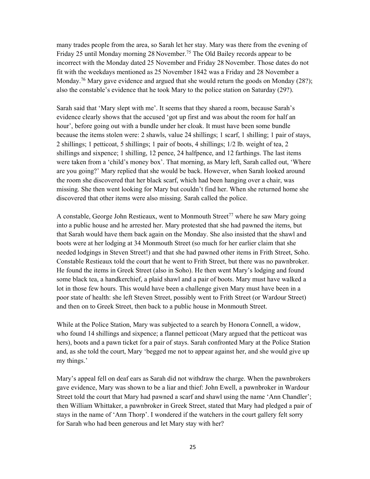many trades people from the area, so Sarah let her stay. Mary was there from the evening of Friday 25 until Monday morning 28 November.<sup>75</sup> The Old Bailey records appear to be incorrect with the Monday dated 25 November and Friday 28 November. Those dates do not fit with the weekdays mentioned as 25 November 1842 was a Friday and 28 November a Monday.<sup>76</sup> Mary gave evidence and argued that she would return the goods on Monday (28?); also the constable's evidence that he took Mary to the police station on Saturday (29?).

Sarah said that 'Mary slept with me'. It seems that they shared a room, because Sarah's evidence clearly shows that the accused 'got up first and was about the room for half an hour', before going out with a bundle under her cloak. It must have been some bundle because the items stolen were: 2 shawls, value 24 shillings; 1 scarf, 1 shilling; 1 pair of stays, 2 shillings; 1 petticoat, 5 shillings; 1 pair of boots, 4 shillings; 1/2 lb. weight of tea, 2 shillings and sixpence; 1 shilling, 12 pence, 24 halfpence, and 12 farthings. The last items were taken from a 'child's money box'. That morning, as Mary left, Sarah called out, 'Where are you going?' Mary replied that she would be back. However, when Sarah looked around the room she discovered that her black scarf, which had been hanging over a chair, was missing. She then went looking for Mary but couldn't find her. When she returned home she discovered that other items were also missing. Sarah called the police.

A constable, George John Restieaux, went to Monmouth Street<sup>77</sup> where he saw Mary going into a public house and he arrested her. Mary protested that she had pawned the items, but that Sarah would have them back again on the Monday. She also insisted that the shawl and boots were at her lodging at 34 Monmouth Street (so much for her earlier claim that she needed lodgings in Steven Street!) and that she had pawned other items in Frith Street, Soho. Constable Restieaux told the court that he went to Frith Street, but there was no pawnbroker. He found the items in Greek Street (also in Soho). He then went Mary's lodging and found some black tea, a handkerchief, a plaid shawl and a pair of boots. Mary must have walked a lot in those few hours. This would have been a challenge given Mary must have been in a poor state of health: she left Steven Street, possibly went to Frith Street (or Wardour Street) and then on to Greek Street, then back to a public house in Monmouth Street.

While at the Police Station, Mary was subjected to a search by Honora Connell, a widow, who found 14 shillings and sixpence; a flannel petticoat (Mary argued that the petticoat was hers), boots and a pawn ticket for a pair of stays. Sarah confronted Mary at the Police Station and, as she told the court, Mary 'begged me not to appear against her, and she would give up my things.'

Mary's appeal fell on deaf ears as Sarah did not withdraw the charge. When the pawnbrokers gave evidence, Mary was shown to be a liar and thief: John Ewell, a pawnbroker in Wardour Street told the court that Mary had pawned a scarf and shawl using the name 'Ann Chandler'; then William Whittaker, a pawnbroker in Greek Street, stated that Mary had pledged a pair of stays in the name of 'Ann Thorp'. I wondered if the watchers in the court gallery felt sorry for Sarah who had been generous and let Mary stay with her?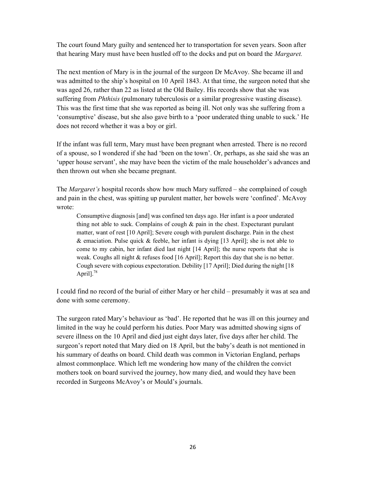The court found Mary guilty and sentenced her to transportation for seven years. Soon after that hearing Mary must have been hustled off to the docks and put on board the *Margaret*.

The next mention of Mary is in the journal of the surgeon Dr McAvoy. She became ill and was admitted to the ship's hospital on 10 April 1843. At that time, the surgeon noted that she was aged 26, rather than 22 as listed at the Old Bailey. His records show that she was suffering from *Phthisis* (pulmonary tuberculosis or a similar progressive wasting disease). This was the first time that she was reported as being ill. Not only was she suffering from a 'consumptive' disease, but she also gave birth to a 'poor underated thing unable to suck.' He does not record whether it was a boy or girl.

If the infant was full term, Mary must have been pregnant when arrested. There is no record of a spouse, so I wondered if she had 'been on the town'. Or, perhaps, as she said she was an 'upper house servant', she may have been the victim of the male householder's advances and then thrown out when she became pregnant.

The *Margaret's* hospital records show how much Mary suffered – she complained of cough and pain in the chest, was spitting up purulent matter, her bowels were 'confined'. McAvoy wrote:

Consumptive diagnosis [and] was confined ten days ago. Her infant is a poor underated thing not able to suck. Complains of cough  $\&$  pain in the chest. Expecturant purulant matter, want of rest [10 April]; Severe cough with purulent discharge. Pain in the chest & emaciation. Pulse quick & feeble, her infant is dying [13 April]; she is not able to come to my cabin, her infant died last night [14 April]; the nurse reports that she is weak. Coughs all night & refuses food [16 April]; Report this day that she is no better. Cough severe with copious expectoration. Debility [17 April]; Died during the night [18 Aprill.<sup>78</sup>

I could find no record of the burial of either Mary or her child – presumably it was at sea and done with some ceremony.

The surgeon rated Mary's behaviour as 'bad'. He reported that he was ill on this journey and limited in the way he could perform his duties. Poor Mary was admitted showing signs of severe illness on the 10 April and died just eight days later, five days after her child. The surgeon's report noted that Mary died on 18 April, but the baby's death is not mentioned in his summary of deaths on board. Child death was common in Victorian England, perhaps almost commonplace. Which left me wondering how many of the children the convict mothers took on board survived the journey, how many died, and would they have been recorded in Surgeons McAvoy's or Mould's journals.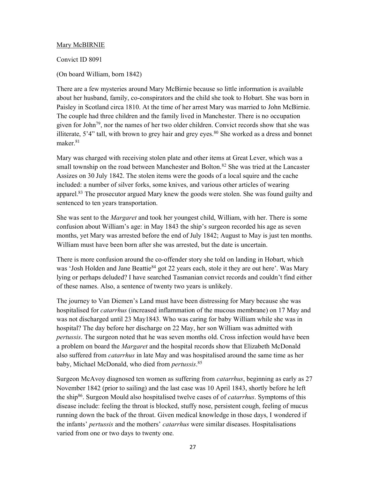## Mary McBIRNIE

Convict ID 8091

(On board William, born 1842)

There are a few mysteries around Mary McBirnie because so little information is available about her husband, family, co-conspirators and the child she took to Hobart. She was born in Paisley in Scotland circa 1810. At the time of her arrest Mary was married to John McBirnie. The couple had three children and the family lived in Manchester. There is no occupation given for John<sup>79</sup>, nor the names of her two older children. Convict records show that she was illiterate,  $5'4''$  tall, with brown to grey hair and grey eyes.<sup>80</sup> She worked as a dress and bonnet maker.<sup>81</sup>

Mary was charged with receiving stolen plate and other items at Great Lever, which was a small township on the road between Manchester and Bolton.<sup>82</sup> She was tried at the Lancaster Assizes on 30 July 1842. The stolen items were the goods of a local squire and the cache included: a number of silver forks, some knives, and various other articles of wearing apparel.<sup>83</sup> The prosecutor argued Mary knew the goods were stolen. She was found guilty and sentenced to ten years transportation.

She was sent to the *Margaret* and took her youngest child, William, with her. There is some confusion about William's age: in May 1843 the ship's surgeon recorded his age as seven months, yet Mary was arrested before the end of July 1842; August to May is just ten months. William must have been born after she was arrested, but the date is uncertain.

There is more confusion around the co-offender story she told on landing in Hobart, which was 'Josh Holden and Jane Beattie<sup>84</sup> got 22 years each, stole it they are out here'. Was Mary lying or perhaps deluded? I have searched Tasmanian convict records and couldn't find either of these names. Also, a sentence of twenty two years is unlikely.

The journey to Van Diemen's Land must have been distressing for Mary because she was hospitalised for *catarrhus* (increased inflammation of the mucous membrane) on 17 May and was not discharged until 23 May1843. Who was caring for baby William while she was in hospital? The day before her discharge on 22 May, her son William was admitted with pertussis. The surgeon noted that he was seven months old. Cross infection would have been a problem on board the Margaret and the hospital records show that Elizabeth McDonald also suffered from *catarrhus* in late May and was hospitalised around the same time as her baby, Michael McDonald, who died from *pertussis*.<sup>85</sup>

Surgeon McAvoy diagnosed ten women as suffering from *catarrhus*, beginning as early as 27 November 1842 (prior to sailing) and the last case was 10 April 1843, shortly before he left the ship<sup>86</sup>. Surgeon Mould also hospitalised twelve cases of of *catarrhus*. Symptoms of this disease include: feeling the throat is blocked, stuffy nose, persistent cough, feeling of mucus running down the back of the throat. Given medical knowledge in those days, I wondered if the infants' *pertussis* and the mothers' *catarrhus* were similar diseases. Hospitalisations varied from one or two days to twenty one.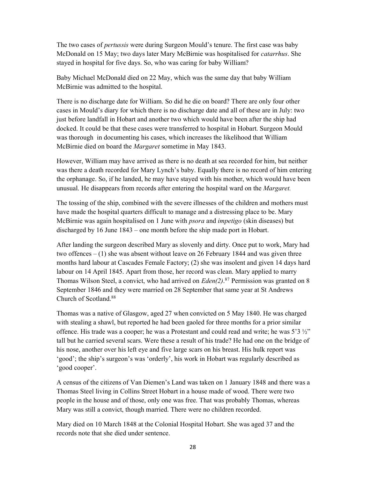The two cases of *pertussis* were during Surgeon Mould's tenure. The first case was baby McDonald on 15 May; two days later Mary McBirnie was hospitalised for *catarrhus*. She stayed in hospital for five days. So, who was caring for baby William?

Baby Michael McDonald died on 22 May, which was the same day that baby William McBirnie was admitted to the hospital.

There is no discharge date for William. So did he die on board? There are only four other cases in Mould's diary for which there is no discharge date and all of these are in July: two just before landfall in Hobart and another two which would have been after the ship had docked. It could be that these cases were transferred to hospital in Hobart. Surgeon Mould was thorough in documenting his cases, which increases the likelihood that William McBirnie died on board the Margaret sometime in May 1843.

However, William may have arrived as there is no death at sea recorded for him, but neither was there a death recorded for Mary Lynch's baby. Equally there is no record of him entering the orphanage. So, if he landed, he may have stayed with his mother, which would have been unusual. He disappears from records after entering the hospital ward on the *Margaret*.

The tossing of the ship, combined with the severe illnesses of the children and mothers must have made the hospital quarters difficult to manage and a distressing place to be. Mary McBirnie was again hospitalised on 1 June with psora and impetigo (skin diseases) but discharged by 16 June 1843 – one month before the ship made port in Hobart.

After landing the surgeon described Mary as slovenly and dirty. Once put to work, Mary had two offences  $- (1)$  she was absent without leave on 26 February 1844 and was given three months hard labour at Cascades Female Factory; (2) she was insolent and given 14 days hard labour on 14 April 1845. Apart from those, her record was clean. Mary applied to marry Thomas Wilson Steel, a convict, who had arrived on  $Eden(2)$ .<sup>87</sup> Permission was granted on 8 September 1846 and they were married on 28 September that same year at St Andrews Church of Scotland.<sup>88</sup>

Thomas was a native of Glasgow, aged 27 when convicted on 5 May 1840. He was charged with stealing a shawl, but reported he had been gaoled for three months for a prior similar offence. His trade was a cooper; he was a Protestant and could read and write; he was  $5'3\frac{1}{2}$ " tall but he carried several scars. Were these a result of his trade? He had one on the bridge of his nose, another over his left eye and five large scars on his breast. His hulk report was 'good'; the ship's surgeon's was 'orderly', his work in Hobart was regularly described as 'good cooper'.

A census of the citizens of Van Diemen's Land was taken on 1 January 1848 and there was a Thomas Steel living in Collins Street Hobart in a house made of wood. There were two people in the house and of those, only one was free. That was probably Thomas, whereas Mary was still a convict, though married. There were no children recorded.

Mary died on 10 March 1848 at the Colonial Hospital Hobart. She was aged 37 and the records note that she died under sentence.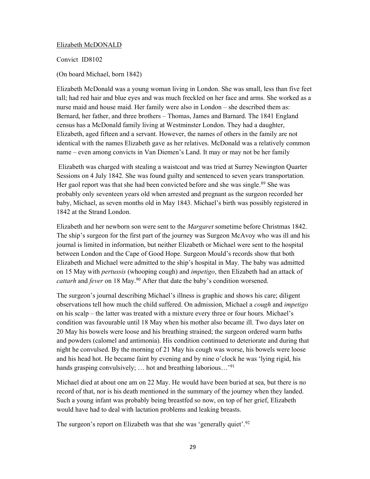## Elizabeth McDONALD

Convict ID8102

(On board Michael, born 1842)

Elizabeth McDonald was a young woman living in London. She was small, less than five feet tall; had red hair and blue eyes and was much freckled on her face and arms. She worked as a nurse maid and house maid. Her family were also in London – she described them as: Bernard, her father, and three brothers – Thomas, James and Barnard. The 1841 England census has a McDonald family living at Westminster London. They had a daughter, Elizabeth, aged fifteen and a servant. However, the names of others in the family are not identical with the names Elizabeth gave as her relatives. McDonald was a relatively common name – even among convicts in Van Diemen's Land. It may or may not be her family

 Elizabeth was charged with stealing a waistcoat and was tried at Surrey Newington Quarter Sessions on 4 July 1842. She was found guilty and sentenced to seven years transportation. Her gaol report was that she had been convicted before and she was single.<sup>89</sup> She was probably only seventeen years old when arrested and pregnant as the surgeon recorded her baby, Michael, as seven months old in May 1843. Michael's birth was possibly registered in 1842 at the Strand London.

Elizabeth and her newborn son were sent to the *Margaret* sometime before Christmas 1842. The ship's surgeon for the first part of the journey was Surgeon McAvoy who was ill and his journal is limited in information, but neither Elizabeth or Michael were sent to the hospital between London and the Cape of Good Hope. Surgeon Mould's records show that both Elizabeth and Michael were admitted to the ship's hospital in May. The baby was admitted on 15 May with pertussis (whooping cough) and impetigo, then Elizabeth had an attack of cattarh and fever on 18 May.<sup>90</sup> After that date the baby's condition worsened.

The surgeon's journal describing Michael's illness is graphic and shows his care; diligent observations tell how much the child suffered. On admission, Michael a *cough* and *impetigo* on his scalp – the latter was treated with a mixture every three or four hours. Michael's condition was favourable until 18 May when his mother also became ill. Two days later on 20 May his bowels were loose and his breathing strained; the surgeon ordered warm baths and powders (calomel and antimonia). His condition continued to deteriorate and during that night he convulsed. By the morning of 21 May his cough was worse, his bowels were loose and his head hot. He became faint by evening and by nine o'clock he was 'lying rigid, his hands grasping convulsively; ... hot and breathing laborious...'<sup>91</sup>

Michael died at about one am on 22 May. He would have been buried at sea, but there is no record of that, nor is his death mentioned in the summary of the journey when they landed. Such a young infant was probably being breastfed so now, on top of her grief, Elizabeth would have had to deal with lactation problems and leaking breasts.

The surgeon's report on Elizabeth was that she was 'generally quiet'.<sup>92</sup>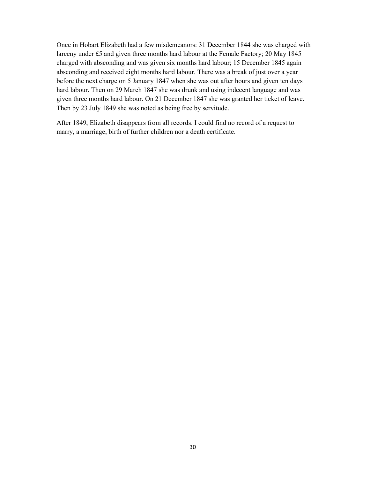Once in Hobart Elizabeth had a few misdemeanors: 31 December 1844 she was charged with larceny under £5 and given three months hard labour at the Female Factory; 20 May 1845 charged with absconding and was given six months hard labour; 15 December 1845 again absconding and received eight months hard labour. There was a break of just over a year before the next charge on 5 January 1847 when she was out after hours and given ten days hard labour. Then on 29 March 1847 she was drunk and using indecent language and was given three months hard labour. On 21 December 1847 she was granted her ticket of leave. Then by 23 July 1849 she was noted as being free by servitude.

After 1849, Elizabeth disappears from all records. I could find no record of a request to marry, a marriage, birth of further children nor a death certificate.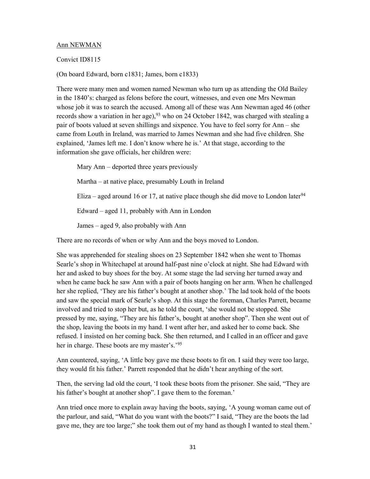## Ann NEWMAN

#### Convict ID8115

(On board Edward, born c1831; James, born c1833)

There were many men and women named Newman who turn up as attending the Old Bailey in the 1840's: charged as felons before the court, witnesses, and even one Mrs Newman whose job it was to search the accused. Among all of these was Ann Newman aged 46 (other records show a variation in her age),  $93$  who on 24 October 1842, was charged with stealing a pair of boots valued at seven shillings and sixpence. You have to feel sorry for Ann – she came from Louth in Ireland, was married to James Newman and she had five children. She explained, 'James left me. I don't know where he is.' At that stage, according to the information she gave officials, her children were:

Mary Ann – deported three years previously Martha – at native place, presumably Louth in Ireland Eliza – aged around 16 or 17, at native place though she did move to London later<sup>94</sup> Edward – aged 11, probably with Ann in London James – aged 9, also probably with Ann

There are no records of when or why Ann and the boys moved to London.

She was apprehended for stealing shoes on 23 September 1842 when she went to Thomas Searle's shop in Whitechapel at around half-past nine o'clock at night. She had Edward with her and asked to buy shoes for the boy. At some stage the lad serving her turned away and when he came back he saw Ann with a pair of boots hanging on her arm. When he challenged her she replied, 'They are his father's bought at another shop.' The lad took hold of the boots and saw the special mark of Searle's shop. At this stage the foreman, Charles Parrett, became involved and tried to stop her but, as he told the court, 'she would not be stopped. She pressed by me, saying, "They are his father's, bought at another shop". Then she went out of the shop, leaving the boots in my hand. I went after her, and asked her to come back. She refused. I insisted on her coming back. She then returned, and I called in an officer and gave her in charge. These boots are my master's.'<sup>95</sup>

Ann countered, saying, 'A little boy gave me these boots to fit on. I said they were too large, they would fit his father.' Parrett responded that he didn't hear anything of the sort.

Then, the serving lad old the court, 'I took these boots from the prisoner. She said, "They are his father's bought at another shop". I gave them to the foreman.'

Ann tried once more to explain away having the boots, saying, 'A young woman came out of the parlour, and said, "What do you want with the boots?" I said, "They are the boots the lad gave me, they are too large;" she took them out of my hand as though I wanted to steal them.'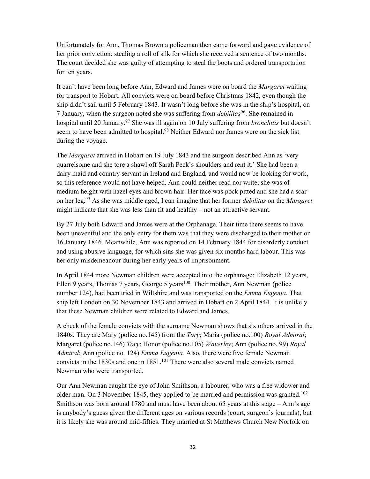Unfortunately for Ann, Thomas Brown a policeman then came forward and gave evidence of her prior conviction: stealing a roll of silk for which she received a sentence of two months. The court decided she was guilty of attempting to steal the boots and ordered transportation for ten years.

It can't have been long before Ann, Edward and James were on board the *Margaret* waiting for transport to Hobart. All convicts were on board before Christmas 1842, even though the ship didn't sail until 5 February 1843. It wasn't long before she was in the ship's hospital, on 7 January, when the surgeon noted she was suffering from *debilitas*<sup>96</sup>. She remained in hospital until 20 January.<sup>97</sup> She was ill again on 10 July suffering from *bronchitis* but doesn't seem to have been admitted to hospital.<sup>98</sup> Neither Edward nor James were on the sick list during the voyage.

The *Margaret* arrived in Hobart on 19 July 1843 and the surgeon described Ann as 'very quarrelsome and she tore a shawl off Sarah Peck's shoulders and rent it.' She had been a dairy maid and country servant in Ireland and England, and would now be looking for work, so this reference would not have helped. Ann could neither read nor write; she was of medium height with hazel eyes and brown hair. Her face was pock pitted and she had a scar on her leg.<sup>99</sup> As she was middle aged, I can imagine that her former *debilitas* on the *Margaret* might indicate that she was less than fit and healthy – not an attractive servant.

By 27 July both Edward and James were at the Orphanage. Their time there seems to have been uneventful and the only entry for them was that they were discharged to their mother on 16 January 1846. Meanwhile, Ann was reported on 14 February 1844 for disorderly conduct and using abusive language, for which sins she was given six months hard labour. This was her only misdemeanour during her early years of imprisonment.

In April 1844 more Newman children were accepted into the orphanage: Elizabeth 12 years, Ellen 9 years, Thomas 7 years, George 5 years<sup>100</sup>. Their mother, Ann Newman (police number 124), had been tried in Wiltshire and was transported on the *Emma Eugenia*. That ship left London on 30 November 1843 and arrived in Hobart on 2 April 1844. It is unlikely that these Newman children were related to Edward and James.

A check of the female convicts with the surname Newman shows that six others arrived in the 1840s. They are Mary (police no.145) from the Tory; Maria (police no.100) Royal Admiral; Margaret (police no.146) Tory; Honor (police no.105) Waverley; Ann (police no. 99) Royal Admiral; Ann (police no. 124) *Emma Eugenia*. Also, there were five female Newman convicts in the  $1830s$  and one in  $1851$ .<sup>101</sup> There were also several male convicts named Newman who were transported.

Our Ann Newman caught the eye of John Smithson, a labourer, who was a free widower and older man. On 3 November 1845, they applied to be married and permission was granted.<sup>102</sup> Smithson was born around 1780 and must have been about 65 years at this stage – Ann's age is anybody's guess given the different ages on various records (court, surgeon's journals), but it is likely she was around mid-fifties. They married at St Matthews Church New Norfolk on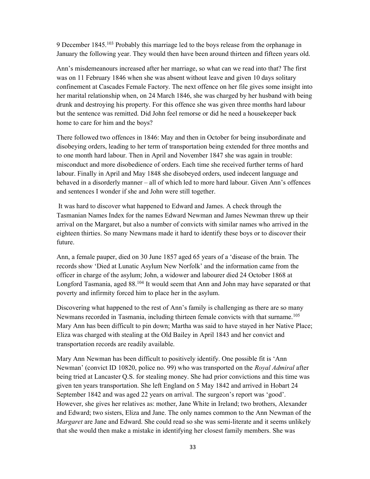9 December 1845.<sup>103</sup> Probably this marriage led to the boys release from the orphanage in January the following year. They would then have been around thirteen and fifteen years old.

Ann's misdemeanours increased after her marriage, so what can we read into that? The first was on 11 February 1846 when she was absent without leave and given 10 days solitary confinement at Cascades Female Factory. The next offence on her file gives some insight into her marital relationship when, on 24 March 1846, she was charged by her husband with being drunk and destroying his property. For this offence she was given three months hard labour but the sentence was remitted. Did John feel remorse or did he need a housekeeper back home to care for him and the boys?

There followed two offences in 1846: May and then in October for being insubordinate and disobeying orders, leading to her term of transportation being extended for three months and to one month hard labour. Then in April and November 1847 she was again in trouble: misconduct and more disobedience of orders. Each time she received further terms of hard labour. Finally in April and May 1848 she disobeyed orders, used indecent language and behaved in a disorderly manner – all of which led to more hard labour. Given Ann's offences and sentences I wonder if she and John were still together.

 It was hard to discover what happened to Edward and James. A check through the Tasmanian Names Index for the names Edward Newman and James Newman threw up their arrival on the Margaret, but also a number of convicts with similar names who arrived in the eighteen thirties. So many Newmans made it hard to identify these boys or to discover their future.

Ann, a female pauper, died on 30 June 1857 aged 65 years of a 'disease of the brain. The records show 'Died at Lunatic Asylum New Norfolk' and the information came from the officer in charge of the asylum; John, a widower and labourer died 24 October 1868 at Longford Tasmania, aged 88.<sup>104</sup> It would seem that Ann and John may have separated or that poverty and infirmity forced him to place her in the asylum.

Discovering what happened to the rest of Ann's family is challenging as there are so many Newmans recorded in Tasmania, including thirteen female convicts with that surname.<sup>105</sup> Mary Ann has been difficult to pin down; Martha was said to have stayed in her Native Place; Eliza was charged with stealing at the Old Bailey in April 1843 and her convict and transportation records are readily available.

Mary Ann Newman has been difficult to positively identify. One possible fit is 'Ann Newman' (convict ID 10820, police no. 99) who was transported on the Royal Admiral after being tried at Lancaster Q.S. for stealing money. She had prior convictions and this time was given ten years transportation. She left England on 5 May 1842 and arrived in Hobart 24 September 1842 and was aged 22 years on arrival. The surgeon's report was 'good'. However, she gives her relatives as: mother, Jane White in Ireland; two brothers, Alexander and Edward; two sisters, Eliza and Jane. The only names common to the Ann Newman of the Margaret are Jane and Edward. She could read so she was semi-literate and it seems unlikely that she would then make a mistake in identifying her closest family members. She was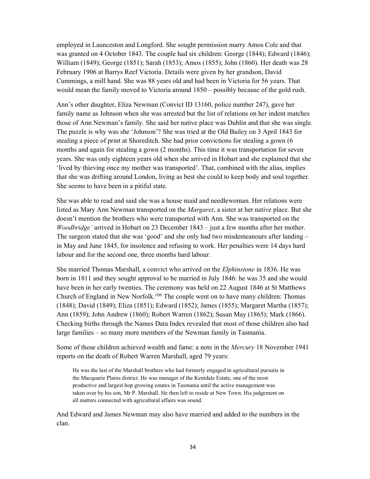employed in Launceston and Longford. She sought permission marry Amos Cole and that was granted on 4 October 1843. The couple had six children: George (1844); Edward (1846); William (1849); George (1851); Sarah (1853); Amos (1855); John (1860). Her death was 28 February 1906 at Barrys Reef Victoria. Details were given by her grandson, David Cummings, a mill hand. She was 88 years old and had been in Victoria for 56 years. That would mean the family moved to Victoria around 1850 – possibly because of the gold rush.

Ann's other daughter, Eliza Newman (Convict ID 13160, police number 247), gave her family name as Johnson when she was arrested but the list of relations on her indent matches those of Ann Newman's family. She said her native place was Dublin and that she was single. The puzzle is why was she 'Johnson'? She was tried at the Old Bailey on 3 April 1843 for stealing a piece of print at Shoreditch. She had prior convictions for stealing a gown (6 months and again for stealing a gown (2 months). This time it was transportation for seven years. She was only eighteen years old when she arrived in Hobart and she explained that she 'lived by thieving once my mother was transported'. That, combined with the alias, implies that she was drifting around London, living as best she could to keep body and soul together. She seems to have been in a pitiful state.

She was able to read and said she was a house maid and needlewoman. Her relations were listed as Mary Ann Newman transported on the *Margaret*, a sister at her native place. But she doesn't mention the brothers who were transported with Ann. She was transported on the Woodbridge' arrived in Hobart on 23 December 1843 – just a few months after her mother. The surgeon stated that she was 'good' and she only had two misdemeanours after landing  $$ in May and June 1845, for insolence and refusing to work. Her penalties were 14 days hard labour and for the second one, three months hard labour.

She married Thomas Marshall, a convict who arrived on the *Elphinstone* in 1836. He was born in 1811 and they sought approval to be married in July 1846: he was 35 and she would have been in her early twenties. The ceremony was held on 22 August 1846 at St Matthews Church of England in New Norfolk.<sup>106</sup> The couple went on to have many children: Thomas (1848); David (1849); Eliza (1851); Edward (1852); James (1855); Margaret Martha (1857); Ann (1859); John Andrew (1860); Robert Warren (1862); Susan May (1865); Mark (1866). Checking births through the Names Data Index revealed that most of those children also had large families – so many more members of the Newman family in Tasmania.

Some of those children achieved wealth and fame: a note in the *Mercury* 18 November 1941 reports on the death of Robert Warren Marshall, aged 79 years:

He was the last of the Marshall brothers who had formerly engaged in agricultural pursuits in the Macquarie Plains district. He was manager of the Kentdale Estate, one of the most productive and largest hop growing estates in Tasmania until the active management was taken over by his son, Mr P. Marshall. He then left to reside at New Town. His judgement on all matters connected with agricultural affairs was sound.

And Edward and James Newman may also have married and added to the numbers in the clan.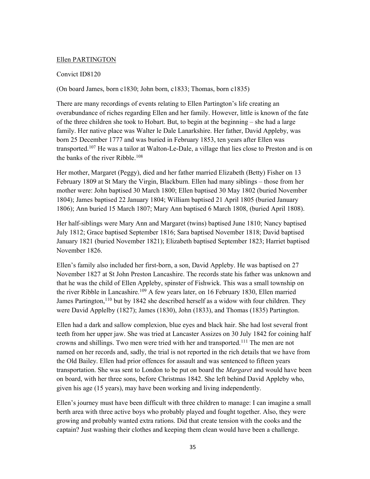## Ellen PARTINGTON

#### Convict ID8120

(On board James, born c1830; John born, c1833; Thomas, born c1835)

There are many recordings of events relating to Ellen Partington's life creating an overabundance of riches regarding Ellen and her family. However, little is known of the fate of the three children she took to Hobart. But, to begin at the beginning – she had a large family. Her native place was Walter le Dale Lanarkshire. Her father, David Appleby, was born 25 December 1777 and was buried in February 1853, ten years after Ellen was transported.<sup>107</sup> He was a tailor at Walton-Le-Dale, a village that lies close to Preston and is on the banks of the river Ribble.<sup>108</sup>

Her mother, Margaret (Peggy), died and her father married Elizabeth (Betty) Fisher on 13 February 1809 at St Mary the Virgin, Blackburn. Ellen had many siblings – those from her mother were: John baptised 30 March 1800; Ellen baptised 30 May 1802 (buried November 1804); James baptised 22 January 1804; William baptised 21 April 1805 (buried January 1806); Ann buried 15 March 1807; Mary Ann baptised 6 March 1808, (buried April 1808).

Her half-siblings were Mary Ann and Margaret (twins) baptised June 1810; Nancy baptised July 1812; Grace baptised September 1816; Sara baptised November 1818; David baptised January 1821 (buried November 1821); Elizabeth baptised September 1823; Harriet baptised November 1826.

Ellen's family also included her first-born, a son, David Appleby. He was baptised on 27 November 1827 at St John Preston Lancashire. The records state his father was unknown and that he was the child of Ellen Appleby, spinster of Fishwick. This was a small township on the river Ribble in Lancashire.<sup>109</sup> A few years later, on 16 February 1830, Ellen married James Partington,<sup>110</sup> but by 1842 she described herself as a widow with four children. They were David Applelby (1827); James (1830), John (1833), and Thomas (1835) Partington.

Ellen had a dark and sallow complexion, blue eyes and black hair. She had lost several front teeth from her upper jaw. She was tried at Lancaster Assizes on 30 July 1842 for coining half crowns and shillings. Two men were tried with her and transported.<sup>111</sup> The men are not named on her records and, sadly, the trial is not reported in the rich details that we have from the Old Bailey. Ellen had prior offences for assault and was sentenced to fifteen years transportation. She was sent to London to be put on board the *Margaret* and would have been on board, with her three sons, before Christmas 1842. She left behind David Appleby who, given his age (15 years), may have been working and living independently.

Ellen's journey must have been difficult with three children to manage: I can imagine a small berth area with three active boys who probably played and fought together. Also, they were growing and probably wanted extra rations. Did that create tension with the cooks and the captain? Just washing their clothes and keeping them clean would have been a challenge.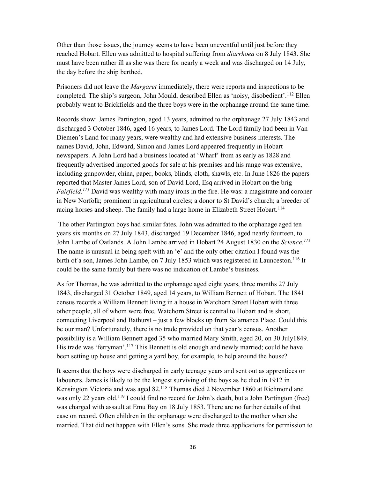Other than those issues, the journey seems to have been uneventful until just before they reached Hobart. Ellen was admitted to hospital suffering from *diarrhoea* on 8 July 1843. She must have been rather ill as she was there for nearly a week and was discharged on 14 July, the day before the ship berthed.

Prisoners did not leave the *Margaret* immediately, there were reports and inspections to be completed. The ship's surgeon, John Mould, described Ellen as 'noisy, disobedient'.<sup>112</sup> Ellen probably went to Brickfields and the three boys were in the orphanage around the same time.

Records show: James Partington, aged 13 years, admitted to the orphanage 27 July 1843 and discharged 3 October 1846, aged 16 years, to James Lord. The Lord family had been in Van Diemen's Land for many years, were wealthy and had extensive business interests. The names David, John, Edward, Simon and James Lord appeared frequently in Hobart newspapers. A John Lord had a business located at 'Wharf' from as early as 1828 and frequently advertised imported goods for sale at his premises and his range was extensive, including gunpowder, china, paper, books, blinds, cloth, shawls, etc. In June 1826 the papers reported that Master James Lord, son of David Lord, Esq arrived in Hobart on the brig Fairfield.<sup>113</sup> David was wealthy with many irons in the fire. He was: a magistrate and coroner in New Norfolk; prominent in agricultural circles; a donor to St David's church; a breeder of racing horses and sheep. The family had a large home in Elizabeth Street Hobart.<sup>114</sup>

 The other Partington boys had similar fates. John was admitted to the orphanage aged ten years six months on 27 July 1843, discharged 19 December 1846, aged nearly fourteen, to John Lambe of Oatlands. A John Lambe arrived in Hobart 24 August 1830 on the Science.<sup>115</sup> The name is unusual in being spelt with an 'e' and the only other citation I found was the birth of a son, James John Lambe, on 7 July 1853 which was registered in Launceston.<sup>116</sup> It could be the same family but there was no indication of Lambe's business.

As for Thomas, he was admitted to the orphanage aged eight years, three months 27 July 1843, discharged 31 October 1849, aged 14 years, to William Bennett of Hobart. The 1841 census records a William Bennett living in a house in Watchorn Street Hobart with three other people, all of whom were free. Watchorn Street is central to Hobart and is short, connecting Liverpool and Bathurst – just a few blocks up from Salamanca Place. Could this be our man? Unfortunately, there is no trade provided on that year's census. Another possibility is a William Bennett aged 35 who married Mary Smith, aged 20, on 30 July1849. His trade was 'ferryman'.<sup>117</sup> This Bennett is old enough and newly married; could he have been setting up house and getting a yard boy, for example, to help around the house?

It seems that the boys were discharged in early teenage years and sent out as apprentices or labourers. James is likely to be the longest surviving of the boys as he died in 1912 in Kensington Victoria and was aged 82.<sup>118</sup> Thomas died 2 November 1860 at Richmond and was only 22 years old.<sup>119</sup> I could find no record for John's death, but a John Partington (free) was charged with assault at Emu Bay on 18 July 1853. There are no further details of that case on record. Often children in the orphanage were discharged to the mother when she married. That did not happen with Ellen's sons. She made three applications for permission to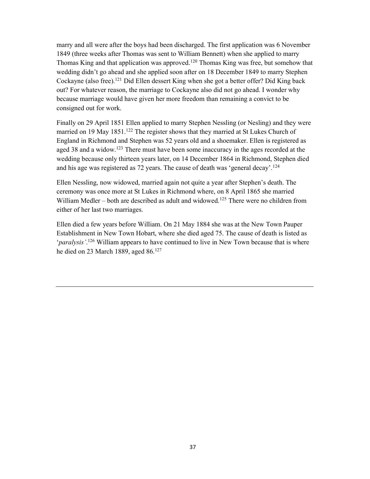marry and all were after the boys had been discharged. The first application was 6 November 1849 (three weeks after Thomas was sent to William Bennett) when she applied to marry Thomas King and that application was approved.<sup>120</sup> Thomas King was free, but somehow that wedding didn't go ahead and she applied soon after on 18 December 1849 to marry Stephen Cockayne (also free).<sup>121</sup> Did Ellen dessert King when she got a better offer? Did King back out? For whatever reason, the marriage to Cockayne also did not go ahead. I wonder why because marriage would have given her more freedom than remaining a convict to be consigned out for work.

Finally on 29 April 1851 Ellen applied to marry Stephen Nessling (or Nesling) and they were married on 19 May 1851.<sup>122</sup> The register shows that they married at St Lukes Church of England in Richmond and Stephen was 52 years old and a shoemaker. Ellen is registered as aged 38 and a widow.<sup>123</sup> There must have been some inaccuracy in the ages recorded at the wedding because only thirteen years later, on 14 December 1864 in Richmond, Stephen died and his age was registered as 72 years. The cause of death was 'general decay'.<sup>124</sup>

Ellen Nessling, now widowed, married again not quite a year after Stephen's death. The ceremony was once more at St Lukes in Richmond where, on 8 April 1865 she married William Medler – both are described as adult and widowed.<sup>125</sup> There were no children from either of her last two marriages.

Ellen died a few years before William. On 21 May 1884 she was at the New Town Pauper Establishment in New Town Hobart, where she died aged 75. The cause of death is listed as '*paralysis*'.<sup>126</sup> William appears to have continued to live in New Town because that is where he died on 23 March 1889, aged 86.<sup>127</sup>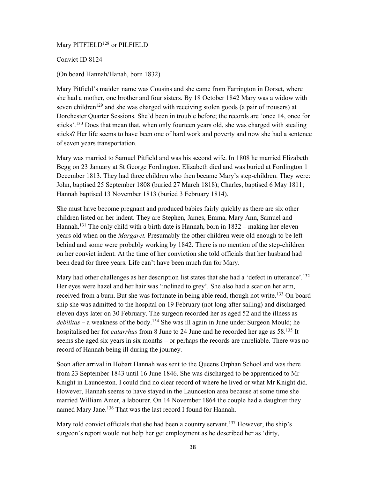## Mary PITFIELD<sup>128</sup> or PILFIELD

## Convict ID 8124

(On board Hannah/Hanah, born 1832)

Mary Pitfield's maiden name was Cousins and she came from Farrington in Dorset, where she had a mother, one brother and four sisters. By 18 October 1842 Mary was a widow with seven children<sup>129</sup> and she was charged with receiving stolen goods (a pair of trousers) at Dorchester Quarter Sessions. She'd been in trouble before; the records are 'once 14, once for sticks'.<sup>130</sup> Does that mean that, when only fourteen years old, she was charged with stealing sticks? Her life seems to have been one of hard work and poverty and now she had a sentence of seven years transportation.

Mary was married to Samuel Pitfield and was his second wife. In 1808 he married Elizabeth Begg on 23 January at St George Fordington. Elizabeth died and was buried at Fordington 1 December 1813. They had three children who then became Mary's step-children. They were: John, baptised 25 September 1808 (buried 27 March 1818); Charles, baptised 6 May 1811; Hannah baptised 13 November 1813 (buried 3 February 1814).

She must have become pregnant and produced babies fairly quickly as there are six other children listed on her indent. They are Stephen, James, Emma, Mary Ann, Samuel and Hannah.<sup>131</sup> The only child with a birth date is Hannah, born in  $1832 - \text{making her eleven}$ years old when on the Margaret. Presumably the other children were old enough to be left behind and some were probably working by 1842. There is no mention of the step-children on her convict indent. At the time of her conviction she told officials that her husband had been dead for three years. Life can't have been much fun for Mary.

Mary had other challenges as her description list states that she had a 'defect in utterance'.<sup>132</sup> Her eyes were hazel and her hair was 'inclined to grey'. She also had a scar on her arm, received from a burn. But she was fortunate in being able read, though not write.<sup>133</sup> On board ship she was admitted to the hospital on 19 February (not long after sailing) and discharged eleven days later on 30 February. The surgeon recorded her as aged 52 and the illness as  $debili$ tas – a weakness of the body.<sup>134</sup> She was ill again in June under Surgeon Mould; he hospitalised her for *catarrhus* from 8 June to 24 June and he recorded her age as 58.<sup>135</sup> It seems she aged six years in six months – or perhaps the records are unreliable. There was no record of Hannah being ill during the journey.

Soon after arrival in Hobart Hannah was sent to the Queens Orphan School and was there from 23 September 1843 until 16 June 1846. She was discharged to be apprenticed to Mr Knight in Launceston. I could find no clear record of where he lived or what Mr Knight did. However, Hannah seems to have stayed in the Launceston area because at some time she married William Amer, a labourer. On 14 November 1864 the couple had a daughter they named Mary Jane.<sup>136</sup> That was the last record I found for Hannah.

Mary told convict officials that she had been a country servant.<sup>137</sup> However, the ship's surgeon's report would not help her get employment as he described her as 'dirty,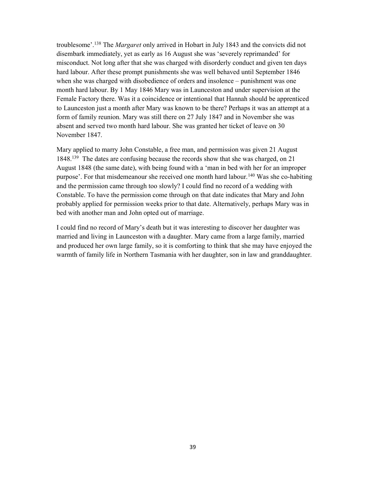troublesome'.<sup>138</sup> The *Margaret* only arrived in Hobart in July 1843 and the convicts did not disembark immediately, yet as early as 16 August she was 'severely reprimanded' for misconduct. Not long after that she was charged with disorderly conduct and given ten days hard labour. After these prompt punishments she was well behaved until September 1846 when she was charged with disobedience of orders and insolence – punishment was one month hard labour. By 1 May 1846 Mary was in Launceston and under supervision at the Female Factory there. Was it a coincidence or intentional that Hannah should be apprenticed to Launceston just a month after Mary was known to be there? Perhaps it was an attempt at a form of family reunion. Mary was still there on 27 July 1847 and in November she was absent and served two month hard labour. She was granted her ticket of leave on 30 November 1847.

Mary applied to marry John Constable, a free man, and permission was given 21 August 1848.<sup>139</sup> The dates are confusing because the records show that she was charged, on 21 August 1848 (the same date), with being found with a 'man in bed with her for an improper purpose'. For that misdemeanour she received one month hard labour.<sup>140</sup> Was she co-habiting and the permission came through too slowly? I could find no record of a wedding with Constable. To have the permission come through on that date indicates that Mary and John probably applied for permission weeks prior to that date. Alternatively, perhaps Mary was in bed with another man and John opted out of marriage.

I could find no record of Mary's death but it was interesting to discover her daughter was married and living in Launceston with a daughter. Mary came from a large family, married and produced her own large family, so it is comforting to think that she may have enjoyed the warmth of family life in Northern Tasmania with her daughter, son in law and granddaughter.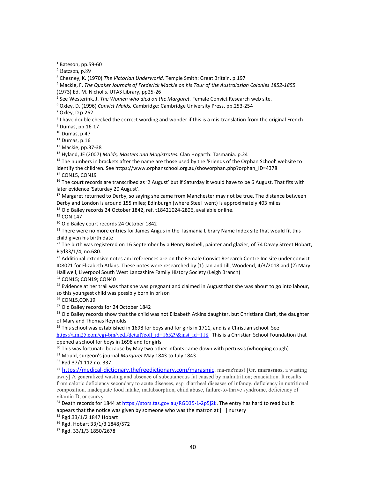$\overline{a}$ 

7 Oxley, D p.262

<sup>8</sup> I have double checked the correct wording and wonder if this is a mis-translation from the original French 9 Dumas, pp.16-17

 $10$  Dumas, p.47

 $11$  Dumas, p.16

<sup>12</sup> Mackie, pp.37-38

<sup>13</sup> Hyland, JE (2007) Maids, Masters and Magistrates. Clan Hogarth: Tasmania. p.24

<sup>14</sup> The numbers in brackets after the name are those used by the 'Friends of the Orphan School' website to identify the children. See https://www.orphanschool.org.au/showorphan.php?orphan\_ID=4378

<sup>15</sup> CON15, CON19

<sup>16</sup> The court records are transcribed as '2 August' but if Saturday it would have to be 6 August. That fits with later evidence 'Saturday 20 August'.

<sup>17</sup> Margaret returned to Derby, so saying she came from Manchester may not be true. The distance between Derby and London is around 155 miles; Edinburgh (where Steel went) is approximately 403 miles

<sup>18</sup> Old Bailey records 24 October 1842, ref. t18421024-2806, available online.

<sup>19</sup> CON 147

<sup>20</sup> Old Bailey court records 24 October 1842

<sup>21</sup> There were no more entries for James Angus in the Tasmania Library Name Index site that would fit this child given his birth date

 $^{22}$  The birth was registered on 16 September by a Henry Bushell, painter and glazier, of 74 Davey Street Hobart, Rgd33/1/4, no.680.

<sup>23</sup> Additional extensive notes and references are on the Female Convict Research Centre Inc site under convict ID8021 for Elizabeth Atkins. These notes were researched by (1) Jan and Jill, Woodend, 4/3/2018 and (2) Mary Halliwell, Liverpool South West Lancashire Family History Society (Leigh Branch)

<sup>24</sup> CON15; CON19; CON40

<sup>25</sup> Evidence at her trail was that she was pregnant and claimed in August that she was about to go into labour, so this youngest child was possibly born in prison

<sup>26</sup> CON15,CON19

<sup>27</sup> Old Bailey records for 24 October 1842

<sup>28</sup> Old Bailey records show that the child was not Elizabeth Atkins daughter, but Christiana Clark, the daughter of Mary and Thomas Reynolds

 $29$  This school was established in 1698 for boys and for girls in 1711, and is a Christian school. See

https://aim25.com/cgi-bin/vcdf/detail?coll\_id=16529&inst\_id=118 This is a Christian School Foundation that opened a school for boys in 1698 and for girls

<sup>30</sup> This was fortunate because by May two other infants came down with pertussis (whooping cough)

<sup>31</sup> Mould, surgeon's journal Margaret May 1843 to July 1843

<sup>32</sup> Rgd.37/1 112 no. 337

33 https://medical-dictionary.thefreedictionary.com/marasmic. ma-raz'mus) [Gr. marasmos, a wasting away] A generalized wasting and absence of subcutaneous fat caused by malnutrition; emaciation. It results from caloric deficiency secondary to acute diseases, esp. diarrheal diseases of infancy, deficiency in nutritional composition, inadequate food intake, malabsorption, child abuse, failure-to-thrive syndrome, deficiency of vitamin D, or scurvy

34 Death records for 1844 at https://stors.tas.gov.au/RGD35-1-2p5j2k. The entry has hard to read but it appears that the notice was given by someone who was the matron at  $\lceil \cdot \rceil$  nursery

<sup>35</sup> Rgd.33/1/2 1847 Hobart

<sup>36</sup> Rgd. Hobart 33/1/3 1848/572

<sup>37</sup> Rgd. 33/1/3 1850/2678

<sup>1</sup> Bateson, pp.59-60

<sup>2</sup> Bateson, p.89

<sup>&</sup>lt;sup>3</sup> Chesney, K. (1970) The Victorian Underworld. Temple Smith: Great Britain. p.197

<sup>4</sup> Mackie, F. The Quaker Journals of Frederick Mackie on his Tour of the Australasian Colonies 1852-1855. (1973) Ed. M. Nicholls. UTAS Library, pp25-26

<sup>&</sup>lt;sup>5</sup> See Westerink, J. The Women who died on the Margaret. Female Convict Research web site.

<sup>&</sup>lt;sup>6</sup> Oxley, D. (1996) Convict Maids. Cambridge: Cambridge University Press. pp.253-254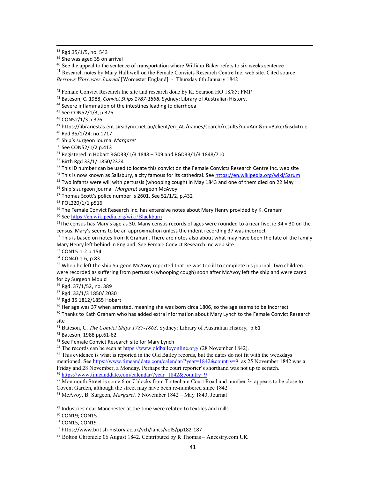$\overline{a}$ 

<sup>40</sup> See the appeal to the sentence of transportation where William Baker refers to six weeks sentence

<sup>41</sup> Research notes by Mary Halliwell on the Female Convicts Research Centre Inc. web site. Cited source Berrows Worcester Journal [Worcester England] - Thursday 6th January 1842

<sup>42</sup> Female Convict Research Inc site and research done by K. Searson HO 18/85; FMP

<sup>43</sup> Bateson, C. 1988, Convict Ships 1787-1868. Sydney: Library of Australian History.

<sup>44</sup> Severe inflammation of the intestines leading to diarrhoea

<sup>45</sup> See CON52/1/3, p.376

<sup>46</sup> CON52/1/3 p.376

<sup>47</sup> https://librariestas.ent.sirsidynix.net.au/client/en\_AU/names/search/results?qu=Ann&qu=Baker&isd=true

<sup>48</sup> Rgd 35/1/24, no.1717

<sup>49</sup> Ship's surgeon journal Margaret

<sup>50</sup> See CON52/1/2 p.413

 $51$  Registered in Hobart RGD33/1/3 1848 – 709 and RGD33/1/3 1848/710

<sup>52</sup> Birth Rgd 33/1/ 1850/2324

<sup>53</sup> This ID number can be used to locate this convict on the Female Convicts Research Centre Inc. web site

54 This is now known as Salisbury, a city famous for its cathedral. See https://en.wikipedia.org/wiki/Sarum

<sup>55</sup> Two infants were will with pertussis (whooping cough) in May 1843 and one of them died on 22 May

56 Ship's surgeon journal Margaret surgeon McAvoy

<sup>57</sup> Thomas Scott's police number is 2601. See 52/1/2, p.432

<sup>58</sup> POL220/1/1 p516

<sup>59</sup> The Female Convict Research Inc. has extensive notes about Mary Henry provided by K. Graham <sup>60</sup> See https://en.wikipedia.org/wiki/Blackburn

 $61$ The census has Mary's age as 30. Many census records of ages were rounded to a near five, ie 34 = 30 on the census. Mary's seems to be an approximation unless the indent recording 37 was incorrect

 $62$  This is based on notes from K Graham. There are notes also about what may have been the fate of the family Mary Henry left behind in England. See Female Convict Research Inc web site

<sup>63</sup> CON15-1-2 p.154

<sup>64</sup> CON40-1-6, p.83

<sup>65</sup> When he left the ship Surgeon McAvoy reported that he was too ill to complete his journal. Two children were recorded as suffering from pertussis (whooping cough) soon after McAvoy left the ship and were cared for by Surgeon Mould

<sup>66</sup> Rgd. 37/1/52, no. 389

<sup>67</sup> Rgd. 33/1/3 1850/ 2030

<sup>68</sup> Rgd 35 1812/1855 Hobart

 $<sup>69</sup>$  Her age was 37 when arrested, meaning she was born circa 1806, so the age seems to be incorrect</sup>

 $70$  Thanks to Kath Graham who has added extra information about Mary Lynch to the Female Convict Research site

<sup>71</sup> Bateson, C. The Convict Ships 1787-1868. Sydney: Library of Australian History, p.61

<sup>72</sup> Bateson, 1988 pp.61-62

<sup>73</sup> See Female Convict Research site for Mary Lynch

<sup>74</sup> The records can be seen at  $\frac{https://www.oldbaileyonline.org/}{28}$  November 1842).

 $75$  This evidence is what is reported in the Old Bailey records, but the dates do not fit with the weekdays mentioned. See https://www.timeanddate.com/calendar/?year=1842&country=9 as 25 November 1842 was a Friday and 28 November, a Monday. Perhaps the court reporter's shorthand was not up to scratch.

<sup>76</sup> https://www.timeanddate.com/calendar/?year=1842&country=9

<sup>77</sup> Monmouth Street is some 6 or 7 blocks from Tottenham Court Road and number 34 appears to be close to Covent Garden, although the street may have been re-numbered since 1842

<sup>78</sup> McAvoy, B. Surgeon, *Margaret*, 5 November 1842 – May 1843, Journal

 $79$  Industries near Manchester at the time were related to textiles and mills

<sup>80</sup> CON19; CON15

<sup>81</sup> CON15, CON19

<sup>82</sup> https://www.british-history.ac.uk/vch/lancs/vol5/pp182-187

<sup>83</sup> Bolton Chronicle 06 August 1842. Contributed by R Thomas – Ancestry.com UK

<sup>38</sup> Rgd.35/1/5, no. 543

<sup>39</sup> She was aged 35 on arrival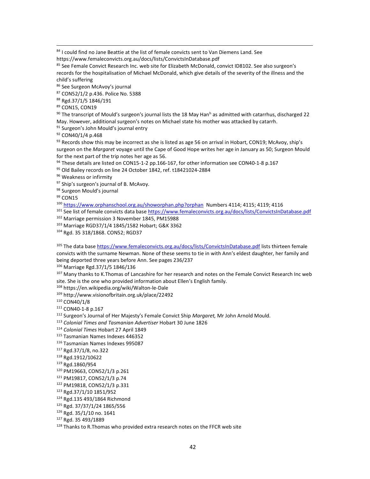84 I could find no Jane Beattie at the list of female convicts sent to Van Diemens Land. See https://www.femaleconvicts.org.au/docs/lists/ConvictsInDatabase.pdf

<sup>85</sup> See Female Convict Research Inc. web site for Elizabeth McDonald, convict ID8102. See also surgeon's records for the hospitalisation of Michael McDonald, which give details of the severity of the illness and the child's suffering

86 See Surgeon McAvoy's journal

<sup>87</sup> CON52/1/2 p.436. Police No. 5388

<sup>88</sup> Rgd.37/1/5 1846/191

<sup>89</sup> CON15, CON19

 $\overline{a}$ 

<sup>90</sup> The transcript of Mould's surgeon's journal lists the 18 May Han<sup>h</sup> as admitted with catarrhus, discharged 22 May. However, additional surgeon's notes on Michael state his mother was attacked by catarrh.

91 Surgeon's John Mould's journal entry

92 CON40/1/4 p.468

 $93$  Records show this may be incorrect as she is listed as age 56 on arrival in Hobart, CON19; McAvoy, ship's surgeon on the Margaret voyage until the Cape of Good Hope writes her age in January as 50; Surgeon Mould for the next part of the trip notes her age as 56.

94 These details are listed on CON15-1-2 pp.166-167, for other information see CON40-1-8 p.167

95 Old Bailey records on line 24 October 1842, ref. t18421024-2884

96 Weakness or infirmity

97 Ship's surgeon's journal of B. McAvoy.

98 Surgeon Mould's journal

<sup>99</sup> CON15

<sup>100</sup> https://www.orphanschool.org.au/showorphan.php?orphan Numbers 4114; 4115; 4119; 4116

101 See list of female convicts data base https://www.femaleconvicts.org.au/docs/lists/ConvictsInDatabase.pdf

<sup>102</sup> Marriage permission 3 November 1845, PM15988

<sup>103</sup> Marriage RGD37/1/4 1845/1582 Hobart; G&K 3362

<sup>104</sup> Rgd. 35 318/1868. CON52; RGD37

<sup>105</sup> The data base https://www.femaleconvicts.org.au/docs/lists/ConvictsInDatabase.pdf lists thirteen female convicts with the surname Newman. None of these seems to tie in with Ann's eldest daughter, her family and being deported three years before Ann. See pages 236/237

<sup>106</sup> Marriage Rgd.37/1/5 1846/136

107 Many thanks to K.Thomas of Lancashire for her research and notes on the Female Convict Research Inc web site. She is the one who provided information about Ellen's English family.

<sup>108</sup> https://en.wikipedia.org/wiki/Walton-le-Dale

<sup>109</sup> http://www.visionofbritain.org.uk/place/22492

<sup>110</sup> CON40/1/8

<sup>111</sup> CON40-1-8 p.167

<sup>112</sup> Surgeon's Journal of Her Majesty's Female Convict Ship Margaret, Mr John Arnold Mould.

<sup>113</sup> Colonial Times and Tasmanian Advertiser Hobart 30 June 1826

<sup>114</sup> Colonial Times Hobart 27 April 1849

<sup>115</sup> Tasmanian Names Indexes 446352

<sup>116</sup> Tasmanian Names Indexes 995087

<sup>117</sup> Rgd.37/1/8, no.322

<sup>118</sup> Rgd.1912/10622

<sup>119</sup> Rgd.1860/954

<sup>120</sup> PM19663, CON52/1/3 p.261

<sup>121</sup> PM19817, CON52/1/3 p.74

<sup>122</sup> PM19818, CON52/1/3 p.331

<sup>123</sup> Rgd.37/1/10 1851/952

<sup>124</sup> Rgd.135 493/1864 Richmond

<sup>125</sup> Rgd. 37/37/1/24 1865/556

<sup>126</sup> Rgd. 35/1/10 no. 1641

<sup>127</sup> Rgd. 35 493/1889

<sup>128</sup> Thanks to R.Thomas who provided extra research notes on the FFCR web site